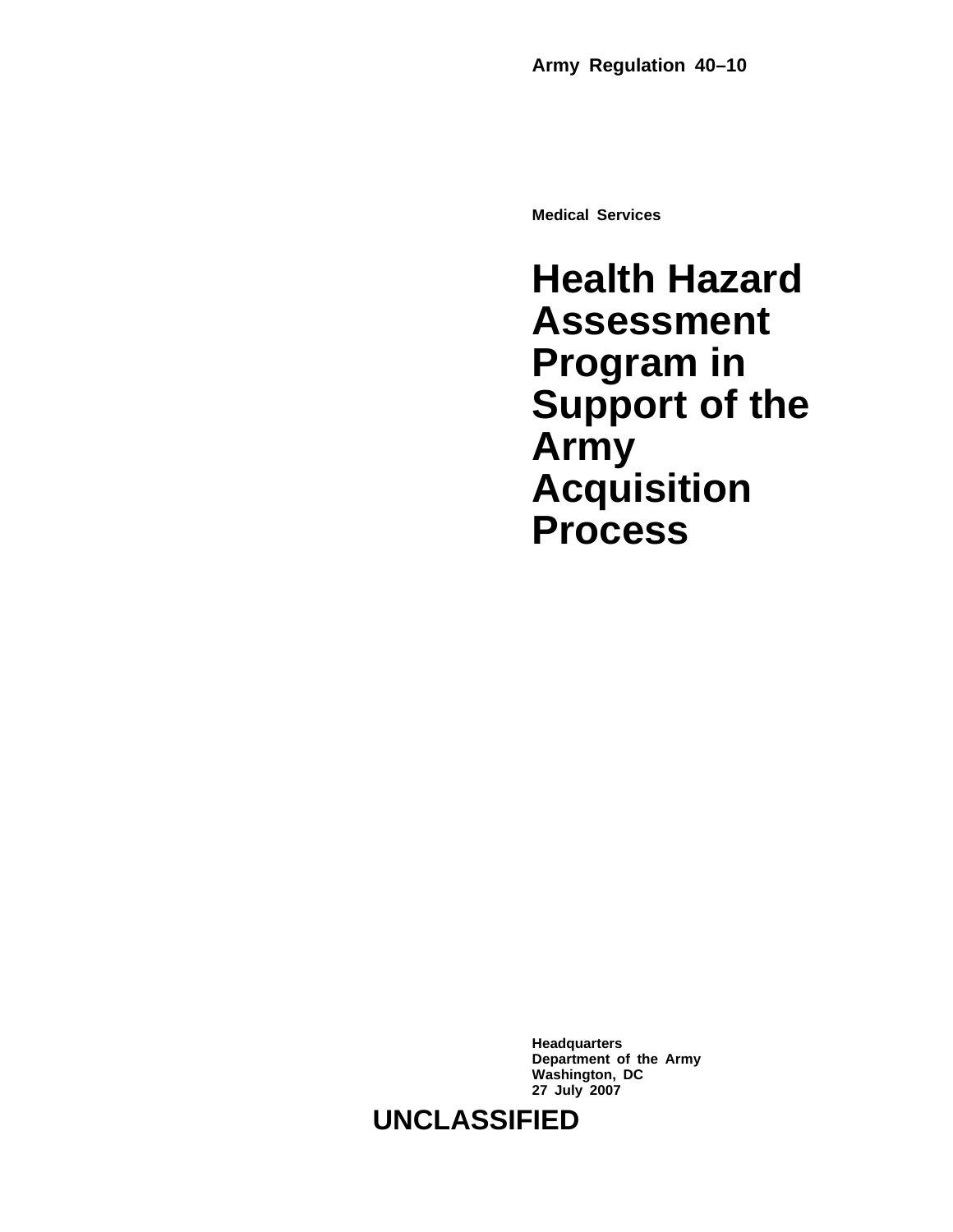**Medical Services**

## **Health Hazard Assessment Program in Support of the Army Acquisition Process**

**Headquarters Department of the Army Washington, DC 27 July 2007**

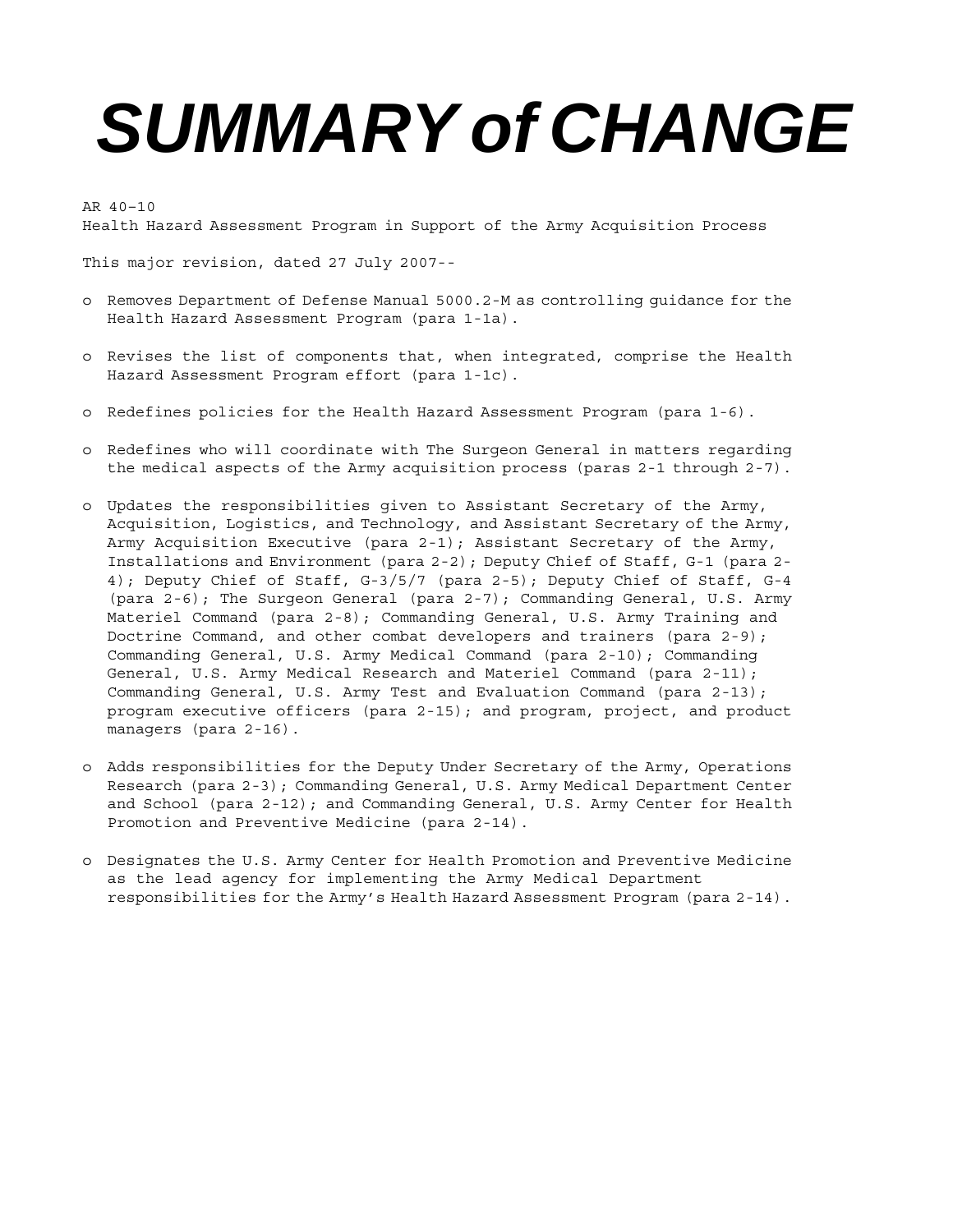# *SUMMARY of CHANGE*

AR 40–10

Health Hazard Assessment Program in Support of the Army Acquisition Process

This major revision, dated 27 July 2007--

- o Removes Department of Defense Manual 5000.2-M as controlling guidance for the Health Hazard Assessment Program (para 1-1a).
- o Revises the list of components that, when integrated, comprise the Health Hazard Assessment Program effort (para 1-1c).
- o Redefines policies for the Health Hazard Assessment Program (para 1-6).
- o Redefines who will coordinate with The Surgeon General in matters regarding the medical aspects of the Army acquisition process (paras 2-1 through 2-7).
- o Updates the responsibilities given to Assistant Secretary of the Army, Acquisition, Logistics, and Technology, and Assistant Secretary of the Army, Army Acquisition Executive (para 2-1); Assistant Secretary of the Army, Installations and Environment (para 2-2); Deputy Chief of Staff, G-1 (para 2- 4); Deputy Chief of Staff, G-3/5/7 (para 2-5); Deputy Chief of Staff, G-4 (para 2-6); The Surgeon General (para 2-7); Commanding General, U.S. Army Materiel Command (para 2-8); Commanding General, U.S. Army Training and Doctrine Command, and other combat developers and trainers (para  $2-9$ ); Commanding General, U.S. Army Medical Command (para 2-10); Commanding General, U.S. Army Medical Research and Materiel Command (para 2-11); Commanding General, U.S. Army Test and Evaluation Command (para 2-13); program executive officers (para 2-15); and program, project, and product managers (para 2-16).
- o Adds responsibilities for the Deputy Under Secretary of the Army, Operations Research (para 2-3); Commanding General, U.S. Army Medical Department Center and School (para 2-12); and Commanding General, U.S. Army Center for Health Promotion and Preventive Medicine (para 2-14).
- o Designates the U.S. Army Center for Health Promotion and Preventive Medicine as the lead agency for implementing the Army Medical Department responsibilities for the Army's Health Hazard Assessment Program (para 2-14).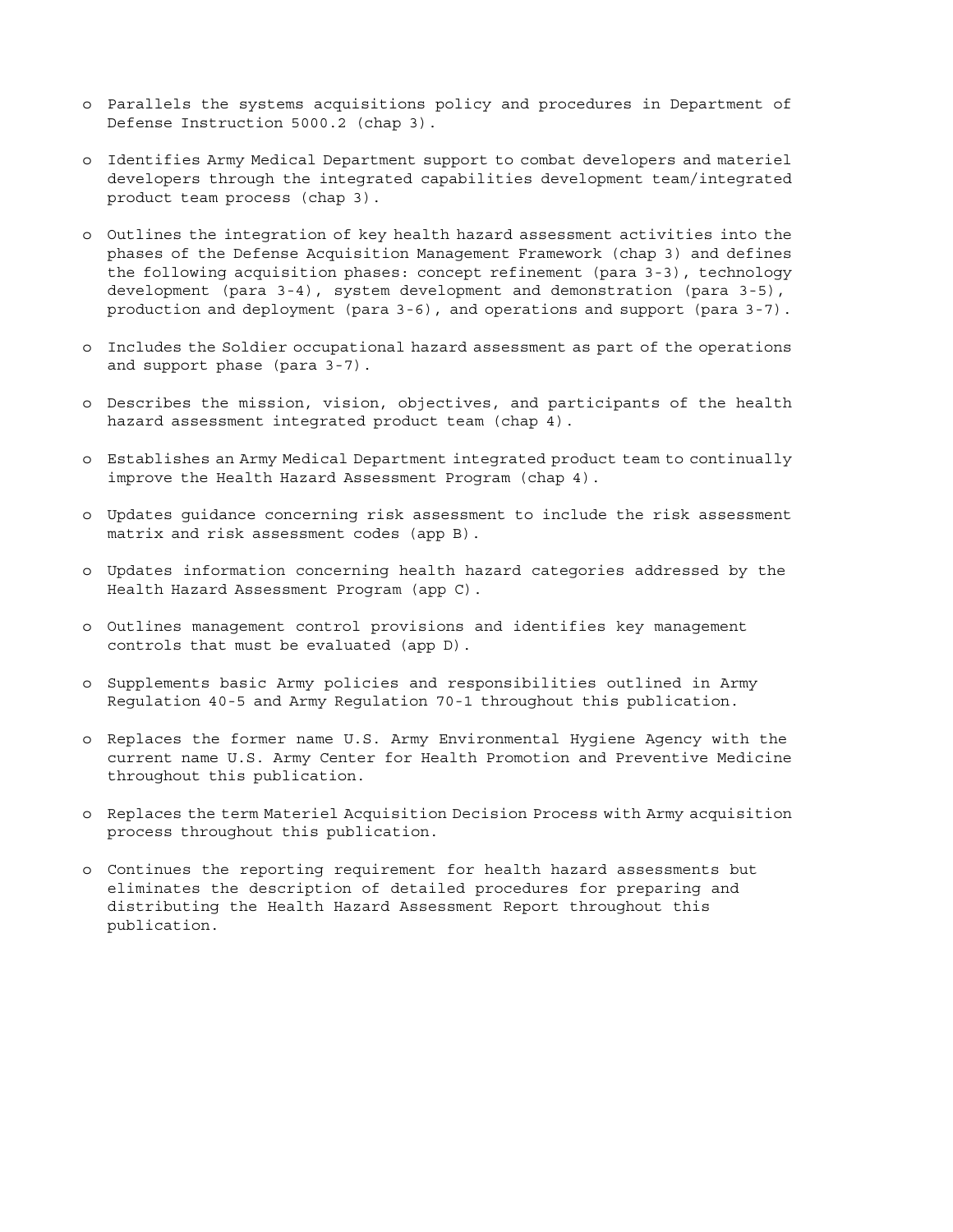- o Parallels the systems acquisitions policy and procedures in Department of Defense Instruction 5000.2 (chap 3).
- o Identifies Army Medical Department support to combat developers and materiel developers through the integrated capabilities development team/integrated product team process (chap 3).
- o Outlines the integration of key health hazard assessment activities into the phases of the Defense Acquisition Management Framework (chap 3) and defines the following acquisition phases: concept refinement (para 3-3), technology development (para 3-4), system development and demonstration (para 3-5), production and deployment (para 3-6), and operations and support (para 3-7).
- o Includes the Soldier occupational hazard assessment as part of the operations and support phase (para 3-7).
- o Describes the mission, vision, objectives, and participants of the health hazard assessment integrated product team (chap 4).
- o Establishes an Army Medical Department integrated product team to continually improve the Health Hazard Assessment Program (chap 4).
- o Updates guidance concerning risk assessment to include the risk assessment matrix and risk assessment codes (app B).
- o Updates information concerning health hazard categories addressed by the Health Hazard Assessment Program (app C).
- o Outlines management control provisions and identifies key management controls that must be evaluated (app D).
- o Supplements basic Army policies and responsibilities outlined in Army Regulation 40-5 and Army Regulation 70-1 throughout this publication.
- o Replaces the former name U.S. Army Environmental Hygiene Agency with the current name U.S. Army Center for Health Promotion and Preventive Medicine throughout this publication.
- o Replaces the term Materiel Acquisition Decision Process with Army acquisition process throughout this publication.
- o Continues the reporting requirement for health hazard assessments but eliminates the description of detailed procedures for preparing and distributing the Health Hazard Assessment Report throughout this publication.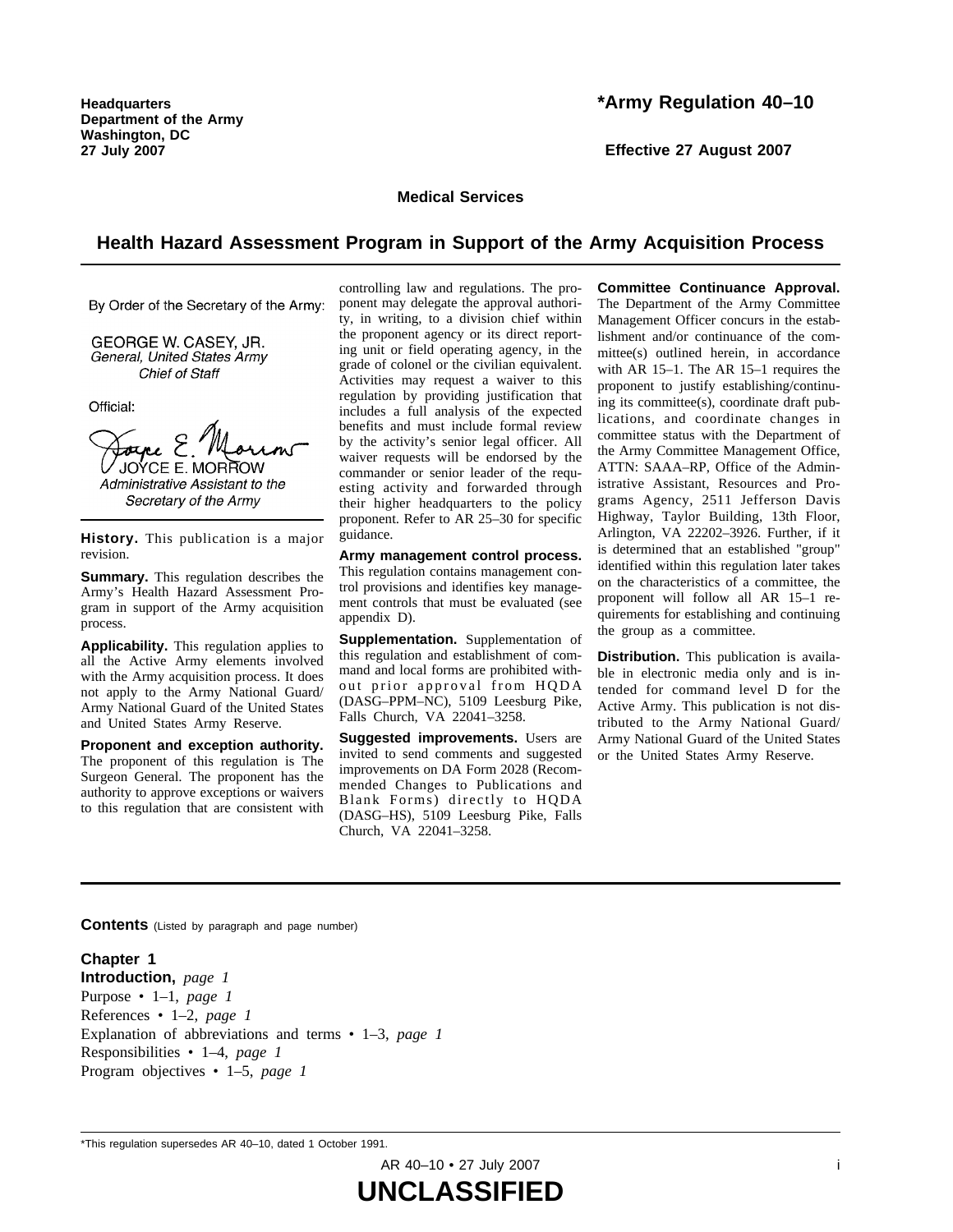**Headquarters Department of the Army Washington, DC 27 July 2007**

#### **\*Army Regulation 40–10**

**Effective 27 August 2007**

**Medical Services**

#### **Health Hazard Assessment Program in Support of the Army Acquisition Process**

By Order of the Secretary of the Army:

GEORGE W. CASEY, JR. General, United States Army **Chief of Staff** 

Official:

Forpe E. JOYCE E. MORROW Administrative Assistant to the Secretary of the Army

History. This publication is a major revision.

**Summary.** This regulation describes the Army's Health Hazard Assessment Program in support of the Army acquisition process.

**Applicability.** This regulation applies to all the Active Army elements involved with the Army acquisition process. It does not apply to the Army National Guard/ Army National Guard of the United States and United States Army Reserve.

**Proponent and exception authority.** The proponent of this regulation is The Surgeon General. The proponent has the authority to approve exceptions or waivers to this regulation that are consistent with controlling law and regulations. The proponent may delegate the approval authority, in writing, to a division chief within the proponent agency or its direct reporting unit or field operating agency, in the grade of colonel or the civilian equivalent. Activities may request a waiver to this regulation by providing justification that includes a full analysis of the expected benefits and must include formal review by the activity's senior legal officer. All waiver requests will be endorsed by the commander or senior leader of the requesting activity and forwarded through their higher headquarters to the policy proponent. Refer to AR 25–30 for specific guidance.

**Army management control process.** This regulation contains management control provisions and identifies key management controls that must be evaluated (see appendix D).

**Supplementation.** Supplementation of this regulation and establishment of command and local forms are prohibited without prior approval from HQDA (DASG–PPM–NC), 5109 Leesburg Pike, Falls Church, VA 22041–3258.

**Suggested improvements.** Users are invited to send comments and suggested improvements on DA Form 2028 (Recommended Changes to Publications and Blank Forms) directly to HQDA (DASG–HS), 5109 Leesburg Pike, Falls Church, VA 22041–3258.

**Committee Continuance Approval.** The Department of the Army Committee Management Officer concurs in the establishment and/or continuance of the committee(s) outlined herein, in accordance with AR 15–1. The AR 15–1 requires the proponent to justify establishing/continuing its committee(s), coordinate draft publications, and coordinate changes in committee status with the Department of the Army Committee Management Office, ATTN: SAAA–RP, Office of the Administrative Assistant, Resources and Programs Agency, 2511 Jefferson Davis Highway, Taylor Building, 13th Floor, Arlington, VA 22202–3926. Further, if it is determined that an established "group" identified within this regulation later takes on the characteristics of a committee, the proponent will follow all AR 15–1 requirements for establishing and continuing the group as a committee.

**Distribution.** This publication is available in electronic media only and is intended for command level D for the Active Army. This publication is not distributed to the Army National Guard/ Army National Guard of the United States or the United States Army Reserve.

**Contents** (Listed by paragraph and page number)

**Chapter 1 Introduction,** *page 1* Purpose • 1–1, *page 1* References • 1–2, *page 1* Explanation of abbreviations and terms • 1–3, *page 1* Responsibilities • 1–4, *page 1* Program objectives • 1–5, *page 1*

AR 40-10 • 27 July 2007 in the state of the state of the state of the state of the state of the state of the state of the state of the state of the state of the state of the state of the state of the state of the state of

**UNCLASSIFIED**

<sup>\*</sup>This regulation supersedes AR 40–10, dated 1 October 1991.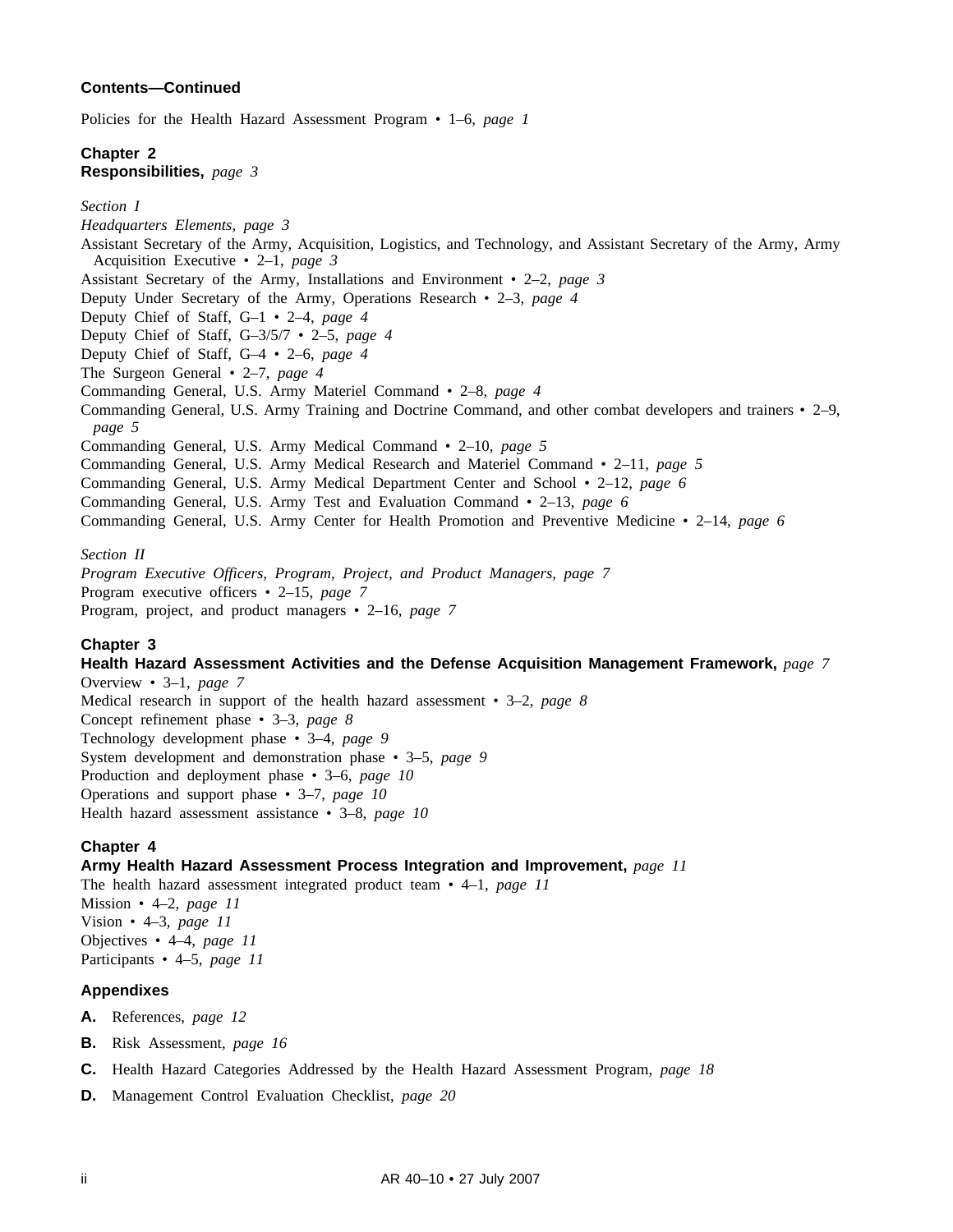#### **Contents—Continued**

Policies for the Health Hazard Assessment Program • 1–6, *page 1*

#### **Chapter 2 Responsibilities,** *page 3*

*Headquarters Elements, page 3*

#### *Section I*

Assistant Secretary of the Army, Acquisition, Logistics, and Technology, and Assistant Secretary of the Army, Army Acquisition Executive • 2–1, *page 3* Assistant Secretary of the Army, Installations and Environment • 2–2, *page 3* Deputy Under Secretary of the Army, Operations Research • 2–3, *page 4* Deputy Chief of Staff, G–1 • 2–4, *page 4* Deputy Chief of Staff, G–3/5/7 • 2–5, *page 4* Deputy Chief of Staff, G–4 • 2–6, *page 4* The Surgeon General • 2–7, *page 4* Commanding General, U.S. Army Materiel Command • 2–8, *page 4* Commanding General, U.S. Army Training and Doctrine Command, and other combat developers and trainers • 2–9, *page 5* Commanding General, U.S. Army Medical Command • 2–10, *page 5* Commanding General, U.S. Army Medical Research and Materiel Command • 2–11, *page 5* Commanding General, U.S. Army Medical Department Center and School • 2–12, *page 6* Commanding General, U.S. Army Test and Evaluation Command • 2–13, *page 6* Commanding General, U.S. Army Center for Health Promotion and Preventive Medicine • 2–14, *page 6 Section II*

*Program Executive Officers, Program, Project, and Product Managers, page 7* Program executive officers • 2–15, *page 7* Program, project, and product managers • 2–16, *page 7*

#### **Chapter 3**

#### **Health Hazard Assessment Activities and the Defense Acquisition Management Framework,** *page 7*

Overview • 3–1, *page 7* Medical research in support of the health hazard assessment • 3–2, *page 8* Concept refinement phase • 3–3, *page 8* Technology development phase • 3–4, *page 9* System development and demonstration phase • 3–5, *page 9* Production and deployment phase • 3–6, *page 10* Operations and support phase • 3–7, *page 10* Health hazard assessment assistance • 3–8, *page 10*

#### **Chapter 4**

#### **Army Health Hazard Assessment Process Integration and Improvement,** *page 11*

The health hazard assessment integrated product team • 4–1, *page 11* Mission • 4–2, *page 11* Vision • 4–3, *page 11* Objectives • 4–4, *page 11* Participants • 4–5, *page 11*

#### **Appendixes**

- **A.** References, *page 12*
- **B.** Risk Assessment, *page 16*
- **C.** Health Hazard Categories Addressed by the Health Hazard Assessment Program, *page 18*
- **D.** Management Control Evaluation Checklist, *page 20*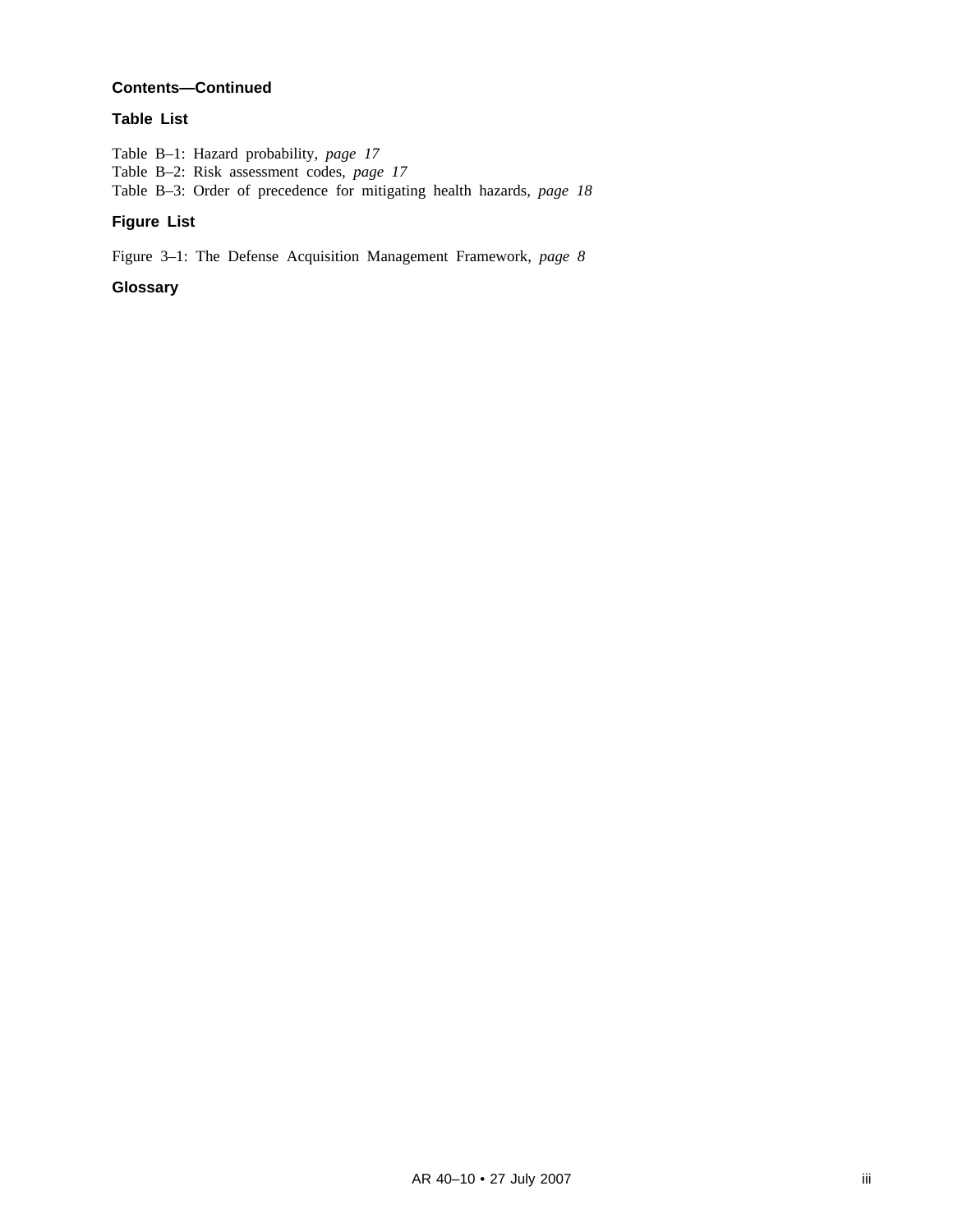#### **Contents—Continued**

#### **Table List**

Table B–1: Hazard probability, *page 17* Table B–2: Risk assessment codes, *page 17* Table B–3: Order of precedence for mitigating health hazards, *page 18*

#### **Figure List**

Figure 3–1: The Defense Acquisition Management Framework, *page 8*

#### **Glossary**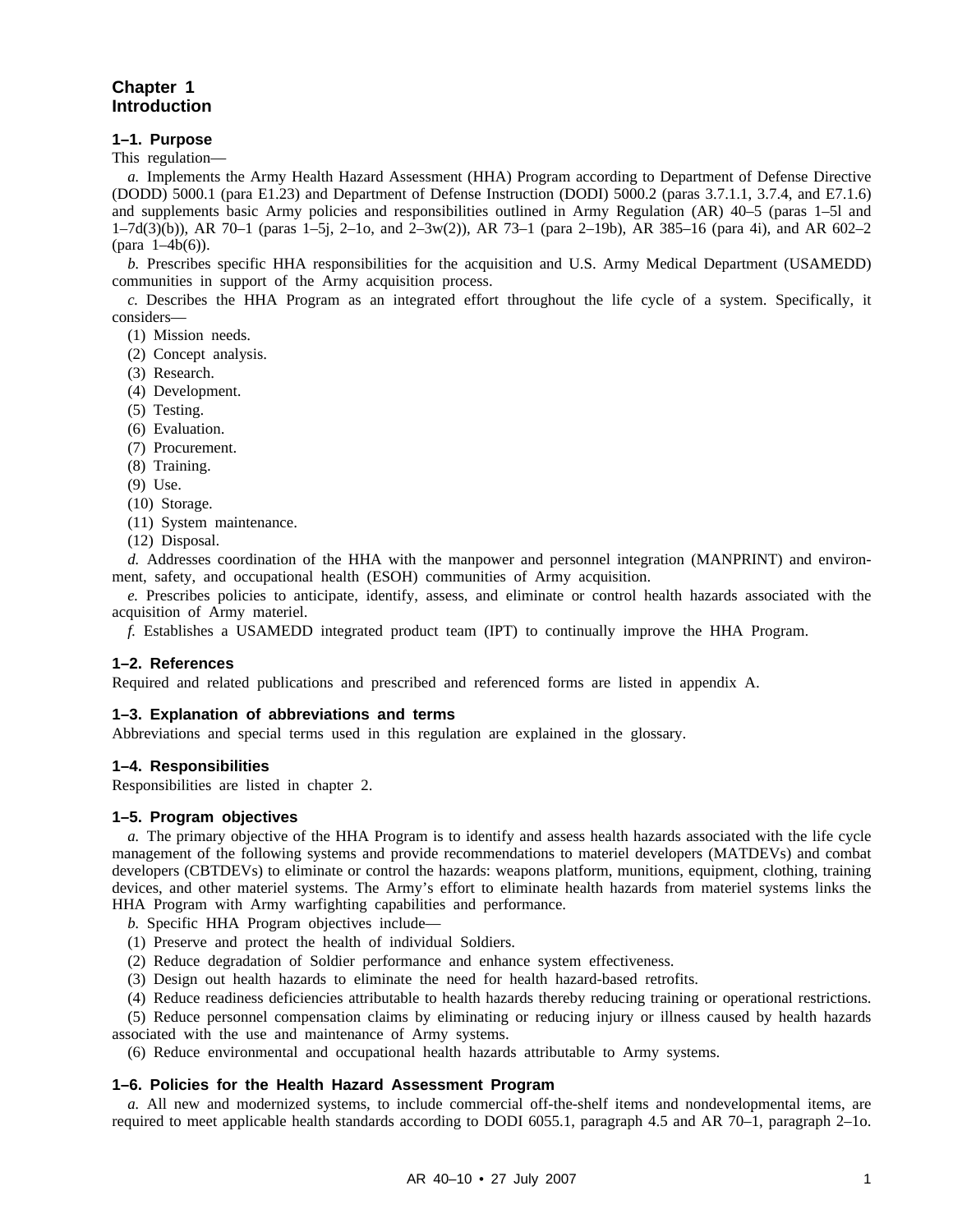#### **Chapter 1 Introduction**

#### **1–1. Purpose**

This regulation—

*a.* Implements the Army Health Hazard Assessment (HHA) Program according to Department of Defense Directive (DODD) 5000.1 (para E1.23) and Department of Defense Instruction (DODI) 5000.2 (paras 3.7.1.1, 3.7.4, and E7.1.6) and supplements basic Army policies and responsibilities outlined in Army Regulation (AR) 40–5 (paras 1–5l and 1–7d(3)(b)), AR 70–1 (paras 1–5j, 2–1o, and 2–3w(2)), AR 73–1 (para 2–19b), AR 385–16 (para 4i), and AR 602–2 (para 1–4b(6)).

*b.* Prescribes specific HHA responsibilities for the acquisition and U.S. Army Medical Department (USAMEDD) communities in support of the Army acquisition process.

*c.* Describes the HHA Program as an integrated effort throughout the life cycle of a system. Specifically, it considers—

(1) Mission needs.

- (2) Concept analysis.
- (3) Research.
- (4) Development.
- (5) Testing.
- (6) Evaluation.
- (7) Procurement.
- (8) Training.
- (9) Use.
- (10) Storage.
- (11) System maintenance.
- (12) Disposal.

*d.* Addresses coordination of the HHA with the manpower and personnel integration (MANPRINT) and environment, safety, and occupational health (ESOH) communities of Army acquisition.

*e.* Prescribes policies to anticipate, identify, assess, and eliminate or control health hazards associated with the acquisition of Army materiel.

*f.* Establishes a USAMEDD integrated product team (IPT) to continually improve the HHA Program.

#### **1–2. References**

Required and related publications and prescribed and referenced forms are listed in appendix A.

#### **1–3. Explanation of abbreviations and terms**

Abbreviations and special terms used in this regulation are explained in the glossary.

#### **1–4. Responsibilities**

Responsibilities are listed in chapter 2.

#### **1–5. Program objectives**

*a.* The primary objective of the HHA Program is to identify and assess health hazards associated with the life cycle management of the following systems and provide recommendations to materiel developers (MATDEVs) and combat developers (CBTDEVs) to eliminate or control the hazards: weapons platform, munitions, equipment, clothing, training devices, and other materiel systems. The Army's effort to eliminate health hazards from materiel systems links the HHA Program with Army warfighting capabilities and performance.

*b.* Specific HHA Program objectives include—

- (1) Preserve and protect the health of individual Soldiers.
- (2) Reduce degradation of Soldier performance and enhance system effectiveness.

(3) Design out health hazards to eliminate the need for health hazard-based retrofits.

(4) Reduce readiness deficiencies attributable to health hazards thereby reducing training or operational restrictions.

(5) Reduce personnel compensation claims by eliminating or reducing injury or illness caused by health hazards associated with the use and maintenance of Army systems.

(6) Reduce environmental and occupational health hazards attributable to Army systems.

#### **1–6. Policies for the Health Hazard Assessment Program**

*a.* All new and modernized systems, to include commercial off-the-shelf items and nondevelopmental items, are required to meet applicable health standards according to DODI 6055.1, paragraph 4.5 and AR 70–1, paragraph 2–1o.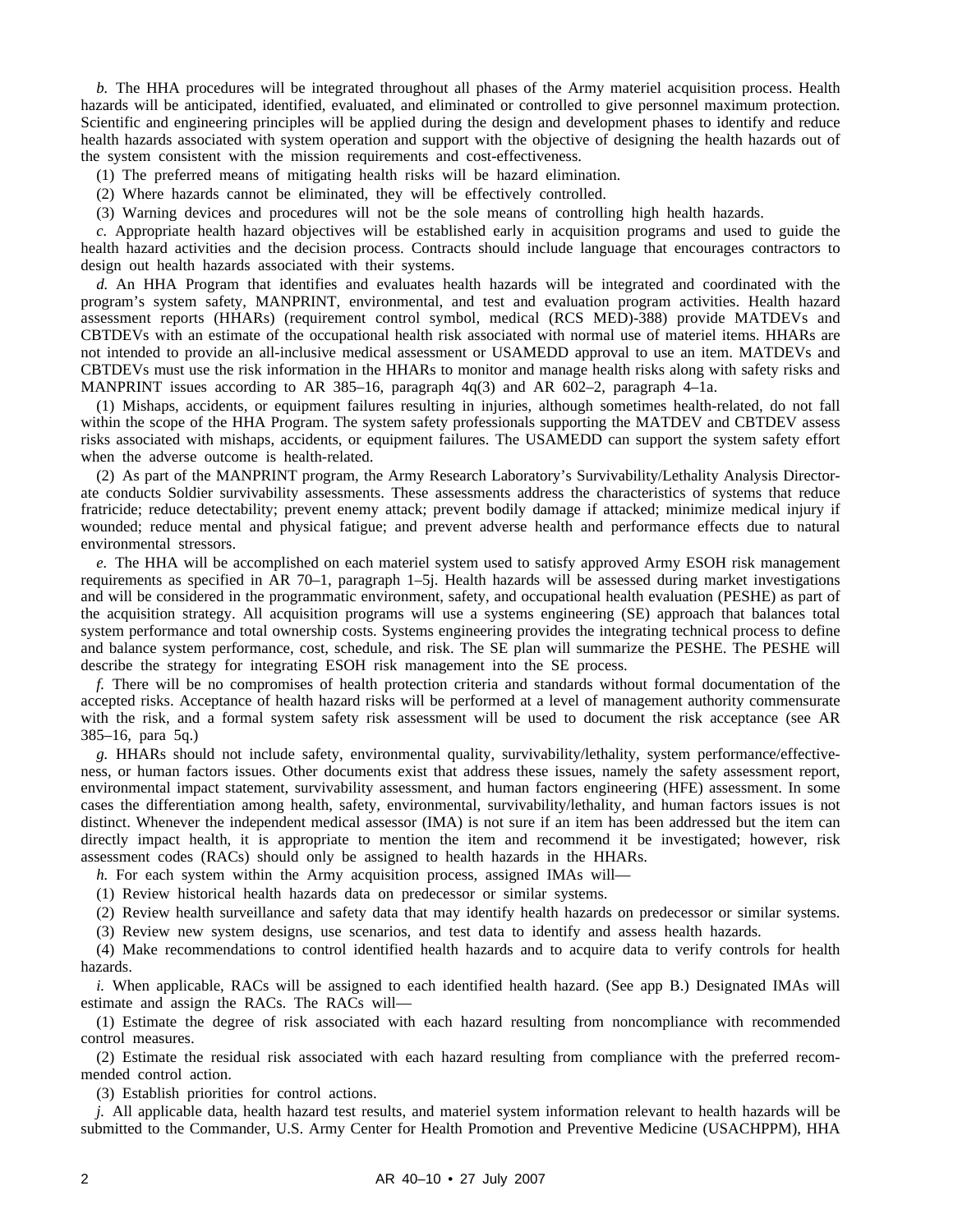*b.* The HHA procedures will be integrated throughout all phases of the Army materiel acquisition process. Health hazards will be anticipated, identified, evaluated, and eliminated or controlled to give personnel maximum protection. Scientific and engineering principles will be applied during the design and development phases to identify and reduce health hazards associated with system operation and support with the objective of designing the health hazards out of the system consistent with the mission requirements and cost-effectiveness.

- (1) The preferred means of mitigating health risks will be hazard elimination.
- (2) Where hazards cannot be eliminated, they will be effectively controlled.
- (3) Warning devices and procedures will not be the sole means of controlling high health hazards.

*c.* Appropriate health hazard objectives will be established early in acquisition programs and used to guide the health hazard activities and the decision process. Contracts should include language that encourages contractors to design out health hazards associated with their systems.

*d.* An HHA Program that identifies and evaluates health hazards will be integrated and coordinated with the program's system safety, MANPRINT, environmental, and test and evaluation program activities. Health hazard assessment reports (HHARs) (requirement control symbol, medical (RCS MED)-388) provide MATDEVs and CBTDEVs with an estimate of the occupational health risk associated with normal use of materiel items. HHARs are not intended to provide an all-inclusive medical assessment or USAMEDD approval to use an item. MATDEVs and CBTDEVs must use the risk information in the HHARs to monitor and manage health risks along with safety risks and MANPRINT issues according to AR 385–16, paragraph  $4q(3)$  and AR 602–2, paragraph 4–1a.

(1) Mishaps, accidents, or equipment failures resulting in injuries, although sometimes health-related, do not fall within the scope of the HHA Program. The system safety professionals supporting the MATDEV and CBTDEV assess risks associated with mishaps, accidents, or equipment failures. The USAMEDD can support the system safety effort when the adverse outcome is health-related.

(2) As part of the MANPRINT program, the Army Research Laboratory's Survivability/Lethality Analysis Directorate conducts Soldier survivability assessments. These assessments address the characteristics of systems that reduce fratricide; reduce detectability; prevent enemy attack; prevent bodily damage if attacked; minimize medical injury if wounded; reduce mental and physical fatigue; and prevent adverse health and performance effects due to natural environmental stressors.

*e.* The HHA will be accomplished on each materiel system used to satisfy approved Army ESOH risk management requirements as specified in AR 70–1, paragraph 1–5j. Health hazards will be assessed during market investigations and will be considered in the programmatic environment, safety, and occupational health evaluation (PESHE) as part of the acquisition strategy. All acquisition programs will use a systems engineering (SE) approach that balances total system performance and total ownership costs. Systems engineering provides the integrating technical process to define and balance system performance, cost, schedule, and risk. The SE plan will summarize the PESHE. The PESHE will describe the strategy for integrating ESOH risk management into the SE process.

*f.* There will be no compromises of health protection criteria and standards without formal documentation of the accepted risks. Acceptance of health hazard risks will be performed at a level of management authority commensurate with the risk, and a formal system safety risk assessment will be used to document the risk acceptance (see AR 385–16, para 5q.)

*g.* HHARs should not include safety, environmental quality, survivability/lethality, system performance/effectiveness, or human factors issues. Other documents exist that address these issues, namely the safety assessment report, environmental impact statement, survivability assessment, and human factors engineering (HFE) assessment. In some cases the differentiation among health, safety, environmental, survivability/lethality, and human factors issues is not distinct. Whenever the independent medical assessor (IMA) is not sure if an item has been addressed but the item can directly impact health, it is appropriate to mention the item and recommend it be investigated; however, risk assessment codes (RACs) should only be assigned to health hazards in the HHARs.

*h.* For each system within the Army acquisition process, assigned IMAs will—

(1) Review historical health hazards data on predecessor or similar systems.

(2) Review health surveillance and safety data that may identify health hazards on predecessor or similar systems. (3) Review new system designs, use scenarios, and test data to identify and assess health hazards.

(4) Make recommendations to control identified health hazards and to acquire data to verify controls for health hazards.

*i.* When applicable, RACs will be assigned to each identified health hazard. (See app B.) Designated IMAs will estimate and assign the RACs. The RACs will—

(1) Estimate the degree of risk associated with each hazard resulting from noncompliance with recommended control measures.

(2) Estimate the residual risk associated with each hazard resulting from compliance with the preferred recommended control action.

(3) Establish priorities for control actions.

*j.* All applicable data, health hazard test results, and materiel system information relevant to health hazards will be submitted to the Commander, U.S. Army Center for Health Promotion and Preventive Medicine (USACHPPM), HHA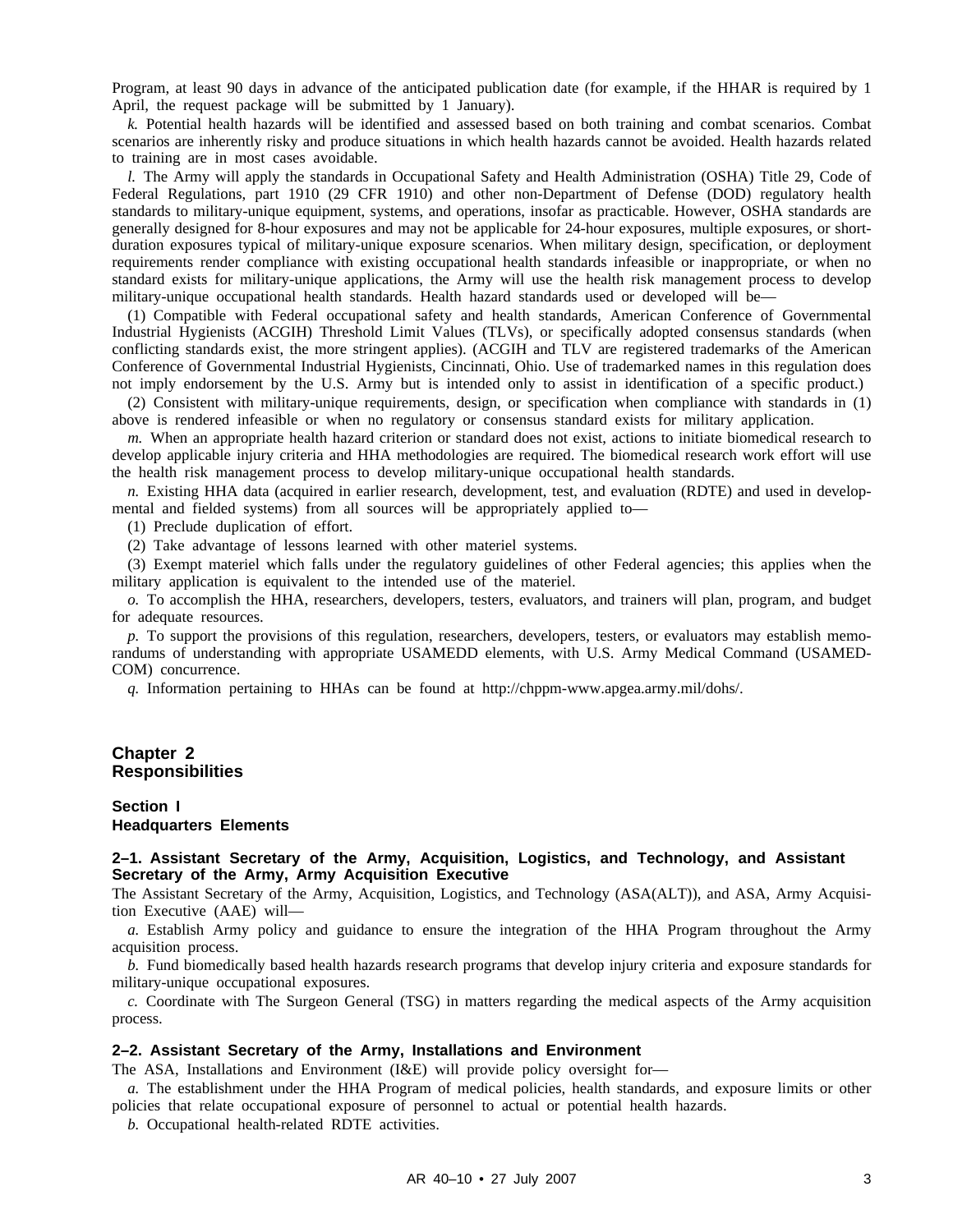Program, at least 90 days in advance of the anticipated publication date (for example, if the HHAR is required by 1 April, the request package will be submitted by 1 January).

*k.* Potential health hazards will be identified and assessed based on both training and combat scenarios. Combat scenarios are inherently risky and produce situations in which health hazards cannot be avoided. Health hazards related to training are in most cases avoidable.

*l.* The Army will apply the standards in Occupational Safety and Health Administration (OSHA) Title 29, Code of Federal Regulations, part 1910 (29 CFR 1910) and other non-Department of Defense (DOD) regulatory health standards to military-unique equipment, systems, and operations, insofar as practicable. However, OSHA standards are generally designed for 8-hour exposures and may not be applicable for 24-hour exposures, multiple exposures, or shortduration exposures typical of military-unique exposure scenarios. When military design, specification, or deployment requirements render compliance with existing occupational health standards infeasible or inappropriate, or when no standard exists for military-unique applications, the Army will use the health risk management process to develop military-unique occupational health standards. Health hazard standards used or developed will be—

(1) Compatible with Federal occupational safety and health standards, American Conference of Governmental Industrial Hygienists (ACGIH) Threshold Limit Values (TLVs), or specifically adopted consensus standards (when conflicting standards exist, the more stringent applies). (ACGIH and TLV are registered trademarks of the American Conference of Governmental Industrial Hygienists, Cincinnati, Ohio. Use of trademarked names in this regulation does not imply endorsement by the U.S. Army but is intended only to assist in identification of a specific product.)

(2) Consistent with military-unique requirements, design, or specification when compliance with standards in (1) above is rendered infeasible or when no regulatory or consensus standard exists for military application.

*m.* When an appropriate health hazard criterion or standard does not exist, actions to initiate biomedical research to develop applicable injury criteria and HHA methodologies are required. The biomedical research work effort will use the health risk management process to develop military-unique occupational health standards.

*n.* Existing HHA data (acquired in earlier research, development, test, and evaluation (RDTE) and used in developmental and fielded systems) from all sources will be appropriately applied to—

(1) Preclude duplication of effort.

(2) Take advantage of lessons learned with other materiel systems.

(3) Exempt materiel which falls under the regulatory guidelines of other Federal agencies; this applies when the military application is equivalent to the intended use of the materiel.

*o.* To accomplish the HHA, researchers, developers, testers, evaluators, and trainers will plan, program, and budget for adequate resources.

*p.* To support the provisions of this regulation, researchers, developers, testers, or evaluators may establish memorandums of understanding with appropriate USAMEDD elements, with U.S. Army Medical Command (USAMED-COM) concurrence.

*q.* Information pertaining to HHAs can be found at http://chppm-www.apgea.army.mil/dohs/.

#### **Chapter 2 Responsibilities**

#### **Section I Headquarters Elements**

#### **2–1. Assistant Secretary of the Army, Acquisition, Logistics, and Technology, and Assistant Secretary of the Army, Army Acquisition Executive**

The Assistant Secretary of the Army, Acquisition, Logistics, and Technology (ASA(ALT)), and ASA, Army Acquisition Executive (AAE) will—

*a.* Establish Army policy and guidance to ensure the integration of the HHA Program throughout the Army acquisition process.

*b.* Fund biomedically based health hazards research programs that develop injury criteria and exposure standards for military-unique occupational exposures.

*c.* Coordinate with The Surgeon General (TSG) in matters regarding the medical aspects of the Army acquisition process.

#### **2–2. Assistant Secretary of the Army, Installations and Environment**

The ASA, Installations and Environment (I&E) will provide policy oversight for—

*a.* The establishment under the HHA Program of medical policies, health standards, and exposure limits or other policies that relate occupational exposure of personnel to actual or potential health hazards.

*b.* Occupational health-related RDTE activities.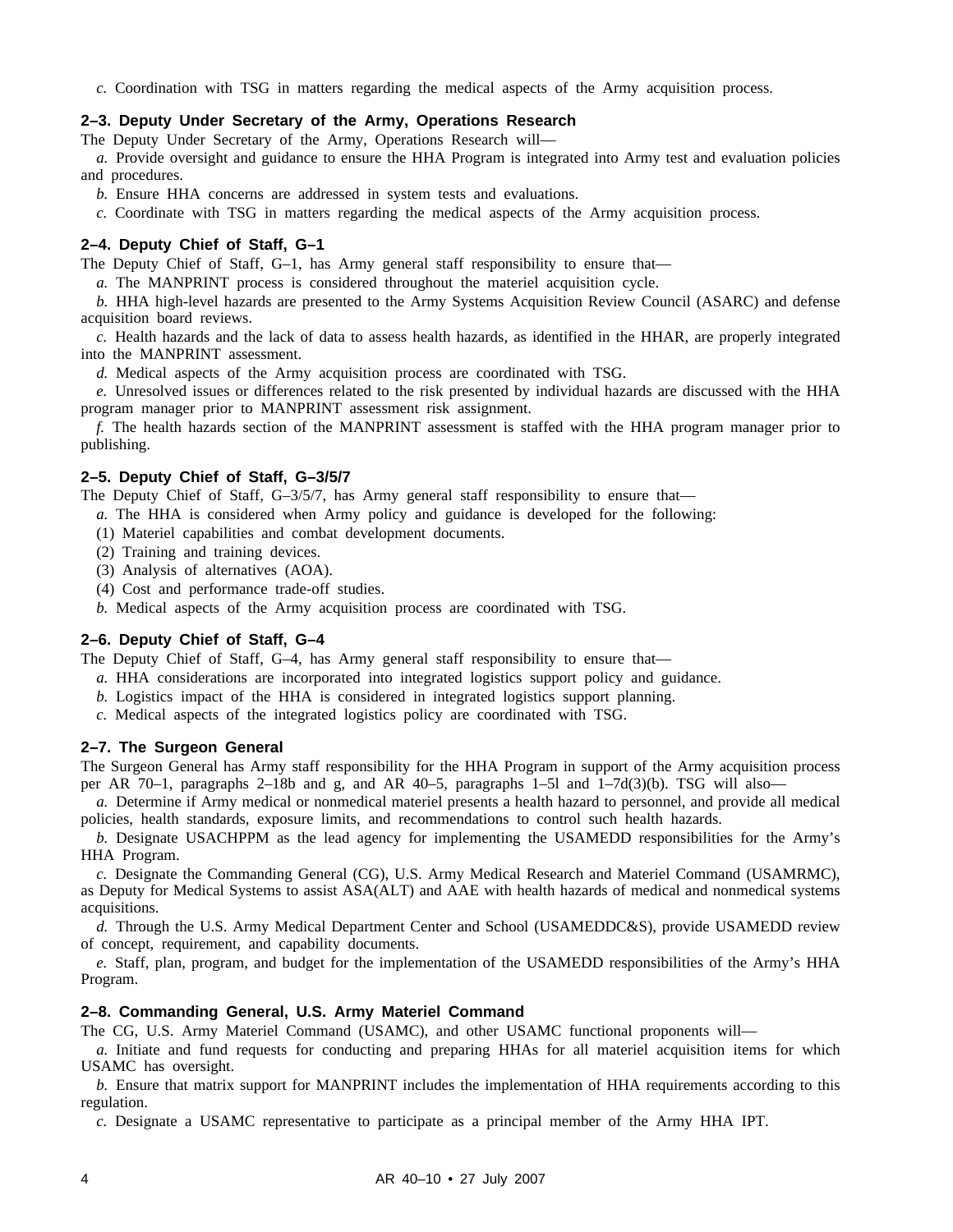*c.* Coordination with TSG in matters regarding the medical aspects of the Army acquisition process.

#### **2–3. Deputy Under Secretary of the Army, Operations Research**

The Deputy Under Secretary of the Army, Operations Research will—

*a.* Provide oversight and guidance to ensure the HHA Program is integrated into Army test and evaluation policies and procedures.

*b.* Ensure HHA concerns are addressed in system tests and evaluations.

*c.* Coordinate with TSG in matters regarding the medical aspects of the Army acquisition process.

#### **2–4. Deputy Chief of Staff, G–1**

The Deputy Chief of Staff, G–1, has Army general staff responsibility to ensure that—

*a.* The MANPRINT process is considered throughout the materiel acquisition cycle.

*b.* HHA high-level hazards are presented to the Army Systems Acquisition Review Council (ASARC) and defense acquisition board reviews.

*c.* Health hazards and the lack of data to assess health hazards, as identified in the HHAR, are properly integrated into the MANPRINT assessment.

*d.* Medical aspects of the Army acquisition process are coordinated with TSG.

*e.* Unresolved issues or differences related to the risk presented by individual hazards are discussed with the HHA program manager prior to MANPRINT assessment risk assignment.

*f.* The health hazards section of the MANPRINT assessment is staffed with the HHA program manager prior to publishing.

#### **2–5. Deputy Chief of Staff, G–3/5/7**

The Deputy Chief of Staff, G-3/5/7, has Army general staff responsibility to ensure that—

- *a.* The HHA is considered when Army policy and guidance is developed for the following:
- (1) Materiel capabilities and combat development documents.
- (2) Training and training devices.
- (3) Analysis of alternatives (AOA).
- (4) Cost and performance trade-off studies.
- *b.* Medical aspects of the Army acquisition process are coordinated with TSG.

#### **2–6. Deputy Chief of Staff, G–4**

The Deputy Chief of Staff, G–4, has Army general staff responsibility to ensure that—

- *a.* HHA considerations are incorporated into integrated logistics support policy and guidance.
- *b.* Logistics impact of the HHA is considered in integrated logistics support planning.
- *c.* Medical aspects of the integrated logistics policy are coordinated with TSG.

#### **2–7. The Surgeon General**

The Surgeon General has Army staff responsibility for the HHA Program in support of the Army acquisition process per AR 70–1, paragraphs 2–18b and g, and AR 40–5, paragraphs 1–5l and  $1-\frac{7d(3)}{b}$ . TSG will also-

*a.* Determine if Army medical or nonmedical materiel presents a health hazard to personnel, and provide all medical policies, health standards, exposure limits, and recommendations to control such health hazards.

*b.* Designate USACHPPM as the lead agency for implementing the USAMEDD responsibilities for the Army's HHA Program.

*c.* Designate the Commanding General (CG), U.S. Army Medical Research and Materiel Command (USAMRMC), as Deputy for Medical Systems to assist ASA(ALT) and AAE with health hazards of medical and nonmedical systems acquisitions.

*d.* Through the U.S. Army Medical Department Center and School (USAMEDDC&S), provide USAMEDD review of concept, requirement, and capability documents.

*e.* Staff, plan, program, and budget for the implementation of the USAMEDD responsibilities of the Army's HHA Program.

#### **2–8. Commanding General, U.S. Army Materiel Command**

The CG, U.S. Army Materiel Command (USAMC), and other USAMC functional proponents will—

*a.* Initiate and fund requests for conducting and preparing HHAs for all materiel acquisition items for which USAMC has oversight.

*b.* Ensure that matrix support for MANPRINT includes the implementation of HHA requirements according to this regulation.

*c.* Designate a USAMC representative to participate as a principal member of the Army HHA IPT.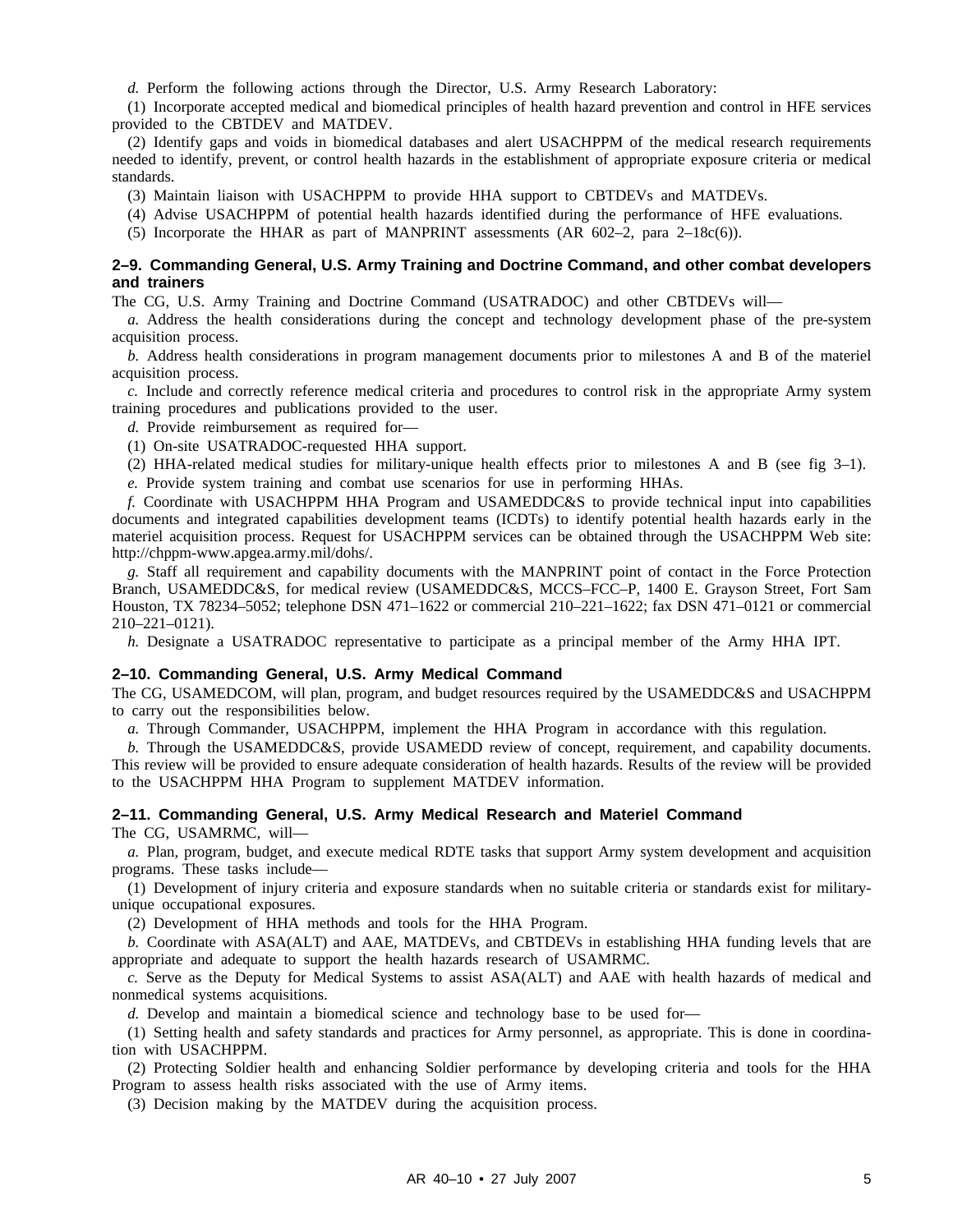*d.* Perform the following actions through the Director, U.S. Army Research Laboratory:

(1) Incorporate accepted medical and biomedical principles of health hazard prevention and control in HFE services provided to the CBTDEV and MATDEV.

(2) Identify gaps and voids in biomedical databases and alert USACHPPM of the medical research requirements needed to identify, prevent, or control health hazards in the establishment of appropriate exposure criteria or medical standards.

(3) Maintain liaison with USACHPPM to provide HHA support to CBTDEVs and MATDEVs.

(4) Advise USACHPPM of potential health hazards identified during the performance of HFE evaluations.

(5) Incorporate the HHAR as part of MANPRINT assessments (AR  $602-2$ , para  $2-18c(6)$ ).

#### **2–9. Commanding General, U.S. Army Training and Doctrine Command, and other combat developers and trainers**

The CG, U.S. Army Training and Doctrine Command (USATRADOC) and other CBTDEVs will—

*a.* Address the health considerations during the concept and technology development phase of the pre-system acquisition process.

*b.* Address health considerations in program management documents prior to milestones A and B of the materiel acquisition process.

*c.* Include and correctly reference medical criteria and procedures to control risk in the appropriate Army system training procedures and publications provided to the user.

*d.* Provide reimbursement as required for—

(1) On-site USATRADOC-requested HHA support.

(2) HHA-related medical studies for military-unique health effects prior to milestones A and B (see fig 3–1). *e.* Provide system training and combat use scenarios for use in performing HHAs.

*f.* Coordinate with USACHPPM HHA Program and USAMEDDC&S to provide technical input into capabilities documents and integrated capabilities development teams (ICDTs) to identify potential health hazards early in the materiel acquisition process. Request for USACHPPM services can be obtained through the USACHPPM Web site: http://chppm-www.apgea.army.mil/dohs/.

*g.* Staff all requirement and capability documents with the MANPRINT point of contact in the Force Protection Branch, USAMEDDC&S, for medical review (USAMEDDC&S, MCCS–FCC–P, 1400 E. Grayson Street, Fort Sam Houston, TX 78234–5052; telephone DSN 471–1622 or commercial 210–221–1622; fax DSN 471–0121 or commercial 210–221–0121).

*h.* Designate a USATRADOC representative to participate as a principal member of the Army HHA IPT.

#### **2–10. Commanding General, U.S. Army Medical Command**

The CG, USAMEDCOM, will plan, program, and budget resources required by the USAMEDDC&S and USACHPPM to carry out the responsibilities below.

*a.* Through Commander, USACHPPM, implement the HHA Program in accordance with this regulation.

*b.* Through the USAMEDDC&S, provide USAMEDD review of concept, requirement, and capability documents. This review will be provided to ensure adequate consideration of health hazards. Results of the review will be provided to the USACHPPM HHA Program to supplement MATDEV information.

#### **2–11. Commanding General, U.S. Army Medical Research and Materiel Command** The CG, USAMRMC, will—

*a.* Plan, program, budget, and execute medical RDTE tasks that support Army system development and acquisition programs. These tasks include—

(1) Development of injury criteria and exposure standards when no suitable criteria or standards exist for militaryunique occupational exposures.

(2) Development of HHA methods and tools for the HHA Program.

*b.* Coordinate with ASA(ALT) and AAE, MATDEVs, and CBTDEVs in establishing HHA funding levels that are appropriate and adequate to support the health hazards research of USAMRMC.

*c.* Serve as the Deputy for Medical Systems to assist ASA(ALT) and AAE with health hazards of medical and nonmedical systems acquisitions.

*d.* Develop and maintain a biomedical science and technology base to be used for—

(1) Setting health and safety standards and practices for Army personnel, as appropriate. This is done in coordination with USACHPPM.

(2) Protecting Soldier health and enhancing Soldier performance by developing criteria and tools for the HHA Program to assess health risks associated with the use of Army items.

(3) Decision making by the MATDEV during the acquisition process.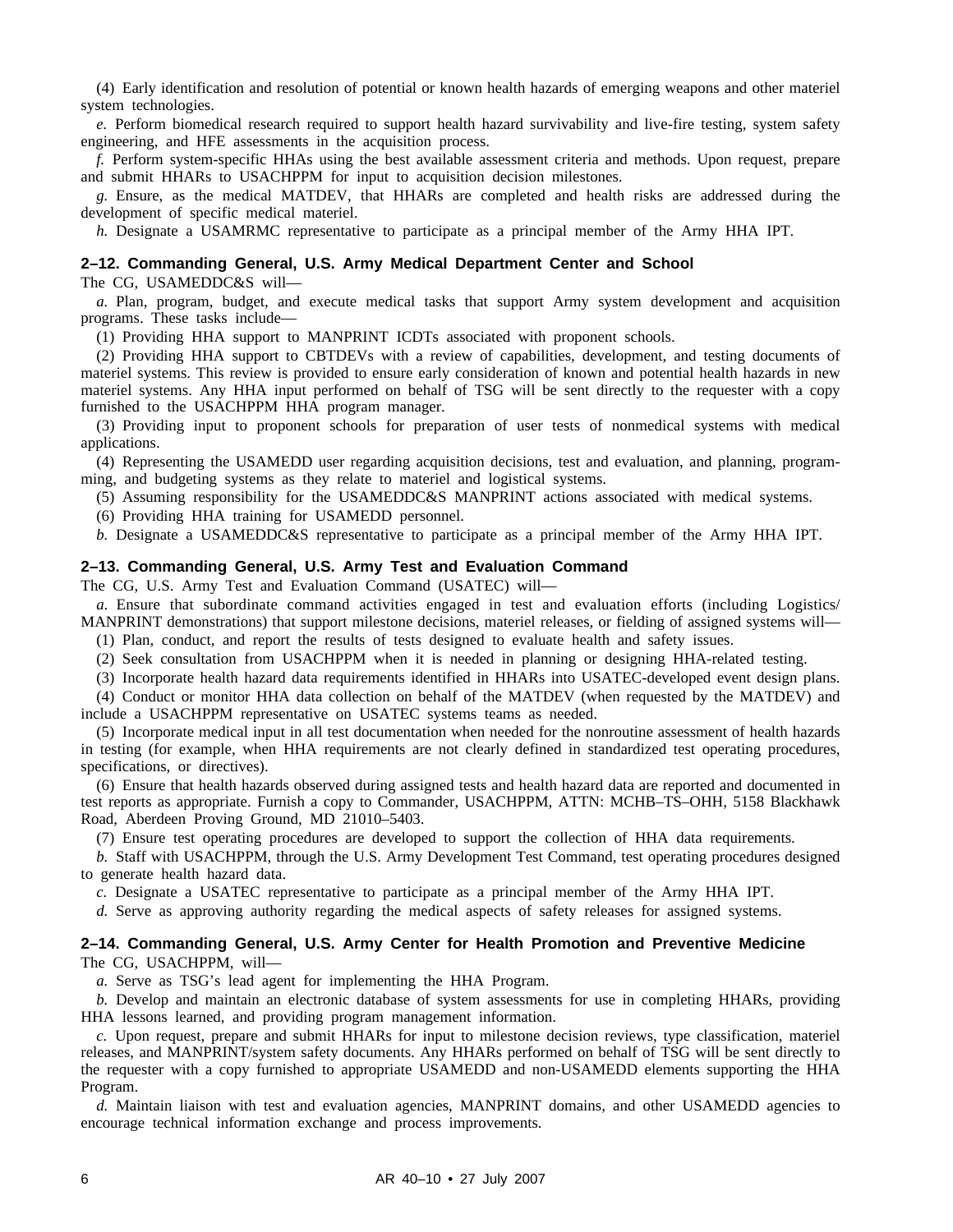(4) Early identification and resolution of potential or known health hazards of emerging weapons and other materiel system technologies.

*e.* Perform biomedical research required to support health hazard survivability and live-fire testing, system safety engineering, and HFE assessments in the acquisition process.

*f.* Perform system-specific HHAs using the best available assessment criteria and methods. Upon request, prepare and submit HHARs to USACHPPM for input to acquisition decision milestones.

*g.* Ensure, as the medical MATDEV, that HHARs are completed and health risks are addressed during the development of specific medical materiel.

*h.* Designate a USAMRMC representative to participate as a principal member of the Army HHA IPT.

#### **2–12. Commanding General, U.S. Army Medical Department Center and School**

The CG, USAMEDDC&S will—

*a.* Plan, program, budget, and execute medical tasks that support Army system development and acquisition programs. These tasks include—

(1) Providing HHA support to MANPRINT ICDTs associated with proponent schools.

(2) Providing HHA support to CBTDEVs with a review of capabilities, development, and testing documents of materiel systems. This review is provided to ensure early consideration of known and potential health hazards in new materiel systems. Any HHA input performed on behalf of TSG will be sent directly to the requester with a copy furnished to the USACHPPM HHA program manager.

(3) Providing input to proponent schools for preparation of user tests of nonmedical systems with medical applications.

(4) Representing the USAMEDD user regarding acquisition decisions, test and evaluation, and planning, programming, and budgeting systems as they relate to materiel and logistical systems.

(5) Assuming responsibility for the USAMEDDC&S MANPRINT actions associated with medical systems.

(6) Providing HHA training for USAMEDD personnel.

*b.* Designate a USAMEDDC&S representative to participate as a principal member of the Army HHA IPT.

#### **2–13. Commanding General, U.S. Army Test and Evaluation Command**

The CG, U.S. Army Test and Evaluation Command (USATEC) will—

*a.* Ensure that subordinate command activities engaged in test and evaluation efforts (including Logistics/ MANPRINT demonstrations) that support milestone decisions, materiel releases, or fielding of assigned systems will— (1) Plan, conduct, and report the results of tests designed to evaluate health and safety issues.

(2) Seek consultation from USACHPPM when it is needed in planning or designing HHA-related testing.

(3) Incorporate health hazard data requirements identified in HHARs into USATEC-developed event design plans. (4) Conduct or monitor HHA data collection on behalf of the MATDEV (when requested by the MATDEV) and

include a USACHPPM representative on USATEC systems teams as needed.

(5) Incorporate medical input in all test documentation when needed for the nonroutine assessment of health hazards in testing (for example, when HHA requirements are not clearly defined in standardized test operating procedures, specifications, or directives).

(6) Ensure that health hazards observed during assigned tests and health hazard data are reported and documented in test reports as appropriate. Furnish a copy to Commander, USACHPPM, ATTN: MCHB–TS–OHH, 5158 Blackhawk Road, Aberdeen Proving Ground, MD 21010–5403.

(7) Ensure test operating procedures are developed to support the collection of HHA data requirements.

*b.* Staff with USACHPPM, through the U.S. Army Development Test Command, test operating procedures designed to generate health hazard data.

*c.* Designate a USATEC representative to participate as a principal member of the Army HHA IPT.

*d.* Serve as approving authority regarding the medical aspects of safety releases for assigned systems.

#### **2–14. Commanding General, U.S. Army Center for Health Promotion and Preventive Medicine** The CG, USACHPPM, will—

*a.* Serve as TSG's lead agent for implementing the HHA Program.

*b.* Develop and maintain an electronic database of system assessments for use in completing HHARs, providing HHA lessons learned, and providing program management information.

*c.* Upon request, prepare and submit HHARs for input to milestone decision reviews, type classification, materiel releases, and MANPRINT/system safety documents. Any HHARs performed on behalf of TSG will be sent directly to the requester with a copy furnished to appropriate USAMEDD and non-USAMEDD elements supporting the HHA Program.

d. Maintain liaison with test and evaluation agencies, MANPRINT domains, and other USAMEDD agencies to encourage technical information exchange and process improvements.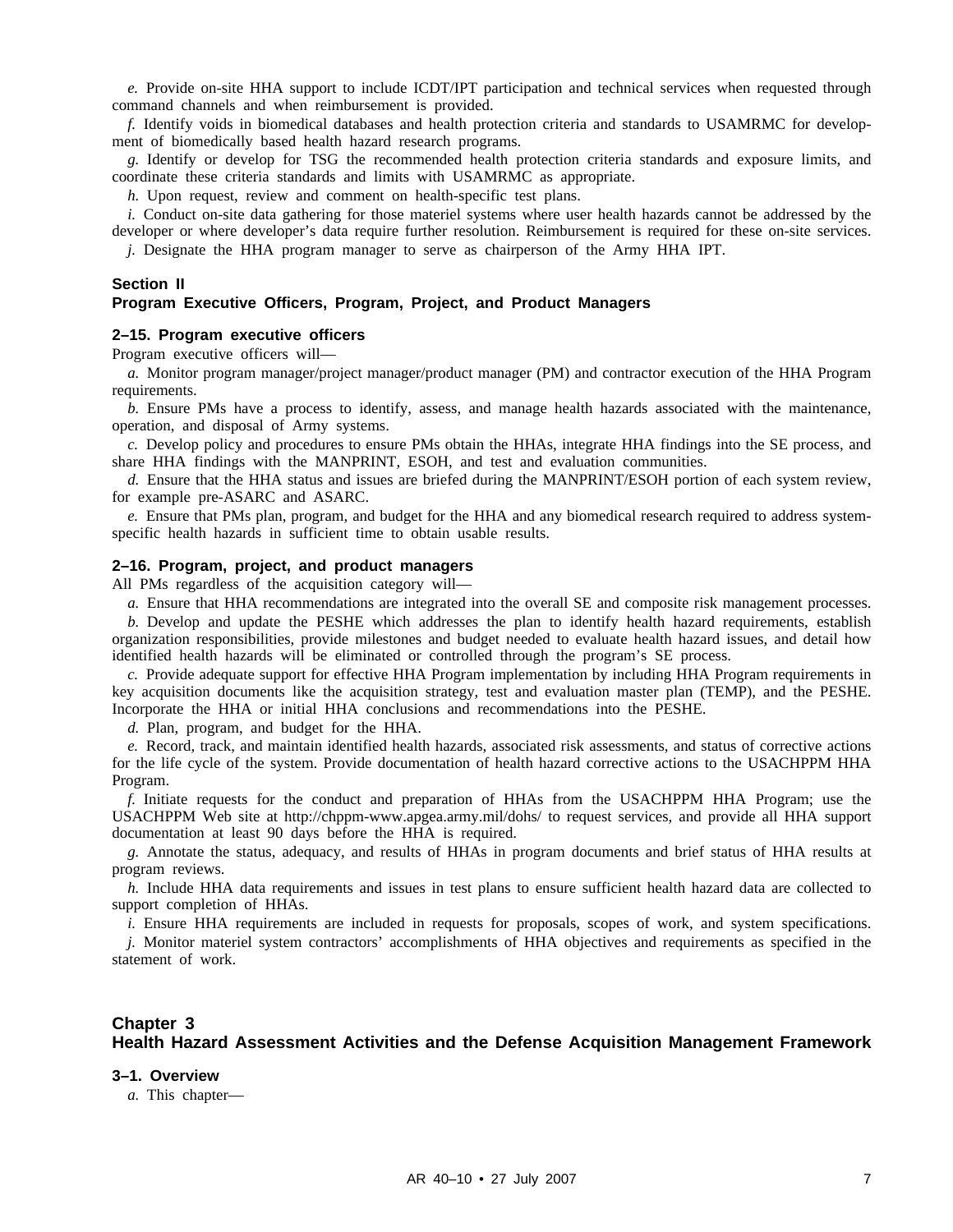*e.* Provide on-site HHA support to include ICDT/IPT participation and technical services when requested through command channels and when reimbursement is provided.

*f.* Identify voids in biomedical databases and health protection criteria and standards to USAMRMC for development of biomedically based health hazard research programs.

*g.* Identify or develop for TSG the recommended health protection criteria standards and exposure limits, and coordinate these criteria standards and limits with USAMRMC as appropriate.

*h.* Upon request, review and comment on health-specific test plans.

*i.* Conduct on-site data gathering for those materiel systems where user health hazards cannot be addressed by the developer or where developer's data require further resolution. Reimbursement is required for these on-site services. *j.* Designate the HHA program manager to serve as chairperson of the Army HHA IPT.

#### **Section II**

#### **Program Executive Officers, Program, Project, and Product Managers**

#### **2–15. Program executive officers**

Program executive officers will—

*a.* Monitor program manager/project manager/product manager (PM) and contractor execution of the HHA Program requirements.

*b.* Ensure PMs have a process to identify, assess, and manage health hazards associated with the maintenance, operation, and disposal of Army systems.

*c.* Develop policy and procedures to ensure PMs obtain the HHAs, integrate HHA findings into the SE process, and share HHA findings with the MANPRINT, ESOH, and test and evaluation communities.

*d.* Ensure that the HHA status and issues are briefed during the MANPRINT/ESOH portion of each system review, for example pre-ASARC and ASARC.

*e.* Ensure that PMs plan, program, and budget for the HHA and any biomedical research required to address systemspecific health hazards in sufficient time to obtain usable results.

#### **2–16. Program, project, and product managers**

All PMs regardless of the acquisition category will—

*a.* Ensure that HHA recommendations are integrated into the overall SE and composite risk management processes.

*b.* Develop and update the PESHE which addresses the plan to identify health hazard requirements, establish organization responsibilities, provide milestones and budget needed to evaluate health hazard issues, and detail how identified health hazards will be eliminated or controlled through the program's SE process.

*c.* Provide adequate support for effective HHA Program implementation by including HHA Program requirements in key acquisition documents like the acquisition strategy, test and evaluation master plan (TEMP), and the PESHE. Incorporate the HHA or initial HHA conclusions and recommendations into the PESHE.

*d.* Plan, program, and budget for the HHA.

*e.* Record, track, and maintain identified health hazards, associated risk assessments, and status of corrective actions for the life cycle of the system. Provide documentation of health hazard corrective actions to the USACHPPM HHA Program.

*f.* Initiate requests for the conduct and preparation of HHAs from the USACHPPM HHA Program; use the USACHPPM Web site at http://chppm-www.apgea.army.mil/dohs/ to request services, and provide all HHA support documentation at least 90 days before the HHA is required.

*g.* Annotate the status, adequacy, and results of HHAs in program documents and brief status of HHA results at program reviews.

*h.* Include HHA data requirements and issues in test plans to ensure sufficient health hazard data are collected to support completion of HHAs.

*i.* Ensure HHA requirements are included in requests for proposals, scopes of work, and system specifications.

*j.* Monitor materiel system contractors' accomplishments of HHA objectives and requirements as specified in the statement of work.

#### **Chapter 3 Health Hazard Assessment Activities and the Defense Acquisition Management Framework**

#### **3–1. Overview**

*a.* This chapter—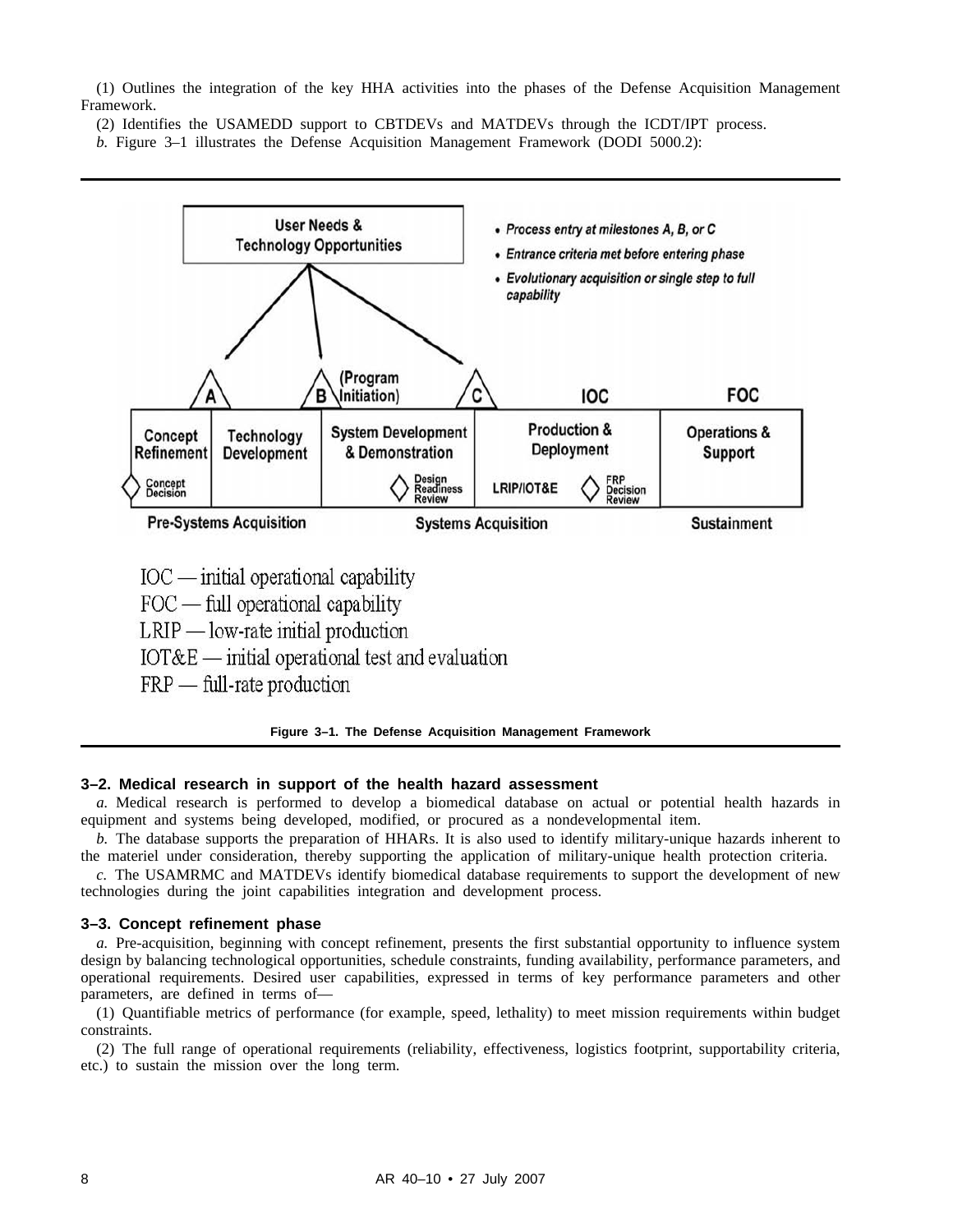(1) Outlines the integration of the key HHA activities into the phases of the Defense Acquisition Management Framework.

(2) Identifies the USAMEDD support to CBTDEVs and MATDEVs through the ICDT/IPT process.

*b.* Figure 3–1 illustrates the Defense Acquisition Management Framework (DODI 5000.2):



**Figure 3–1. The Defense Acquisition Management Framework**

#### **3–2. Medical research in support of the health hazard assessment**

*a.* Medical research is performed to develop a biomedical database on actual or potential health hazards in equipment and systems being developed, modified, or procured as a nondevelopmental item.

*b.* The database supports the preparation of HHARs. It is also used to identify military-unique hazards inherent to the materiel under consideration, thereby supporting the application of military-unique health protection criteria.

*c.* The USAMRMC and MATDEVs identify biomedical database requirements to support the development of new technologies during the joint capabilities integration and development process.

#### **3–3. Concept refinement phase**

*a.* Pre-acquisition, beginning with concept refinement, presents the first substantial opportunity to influence system design by balancing technological opportunities, schedule constraints, funding availability, performance parameters, and operational requirements. Desired user capabilities, expressed in terms of key performance parameters and other parameters, are defined in terms of—

(1) Quantifiable metrics of performance (for example, speed, lethality) to meet mission requirements within budget constraints.

(2) The full range of operational requirements (reliability, effectiveness, logistics footprint, supportability criteria, etc.) to sustain the mission over the long term.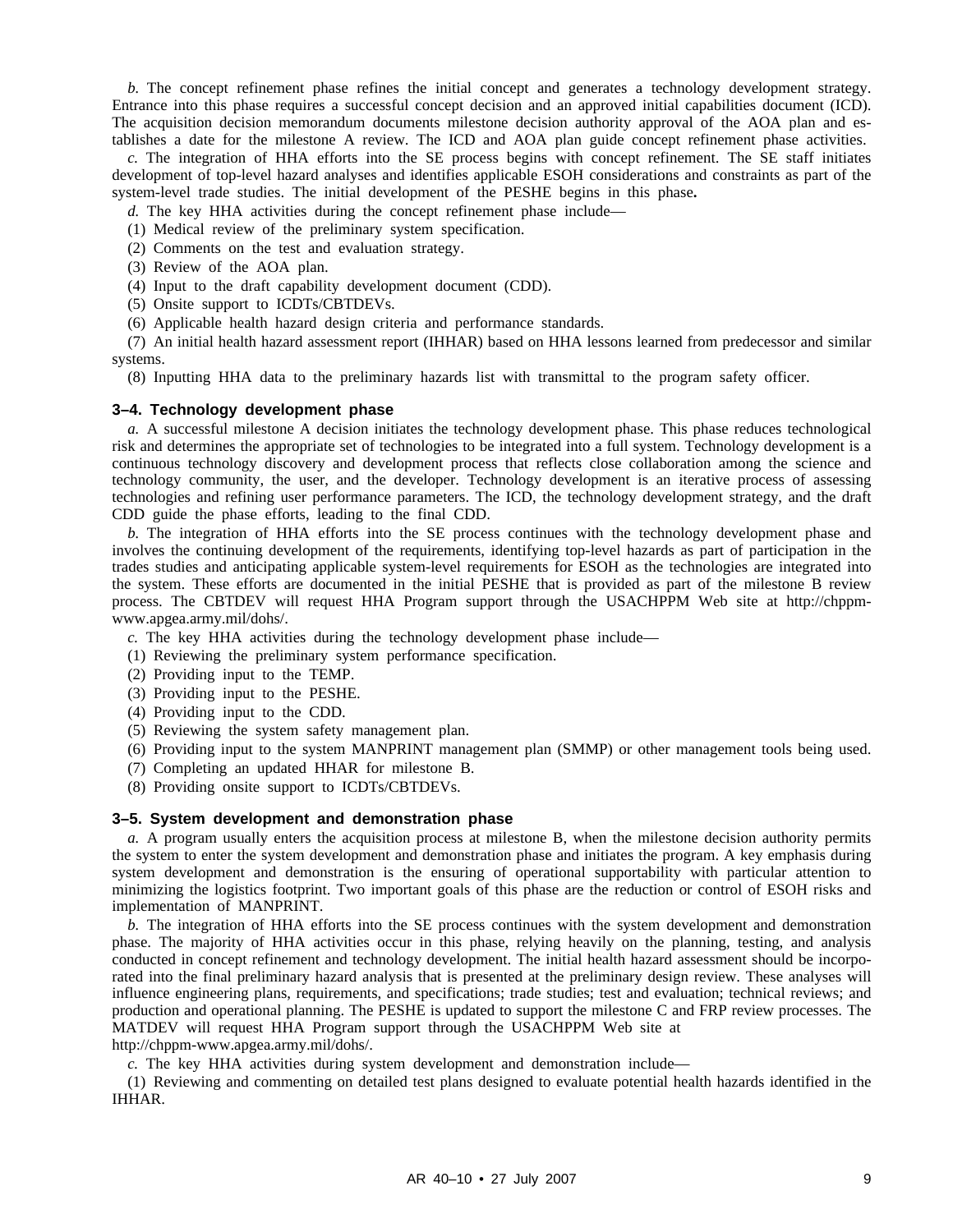*b.* The concept refinement phase refines the initial concept and generates a technology development strategy. Entrance into this phase requires a successful concept decision and an approved initial capabilities document (ICD). The acquisition decision memorandum documents milestone decision authority approval of the AOA plan and establishes a date for the milestone A review. The ICD and AOA plan guide concept refinement phase activities.

*c.* The integration of HHA efforts into the SE process begins with concept refinement. The SE staff initiates development of top-level hazard analyses and identifies applicable ESOH considerations and constraints as part of the system-level trade studies. The initial development of the PESHE begins in this phase**.**

*d.* The key HHA activities during the concept refinement phase include—

- (1) Medical review of the preliminary system specification.
- (2) Comments on the test and evaluation strategy.
- (3) Review of the AOA plan.
- (4) Input to the draft capability development document (CDD).
- (5) Onsite support to ICDTs/CBTDEVs.
- (6) Applicable health hazard design criteria and performance standards.

(7) An initial health hazard assessment report (IHHAR) based on HHA lessons learned from predecessor and similar systems.

(8) Inputting HHA data to the preliminary hazards list with transmittal to the program safety officer.

#### **3–4. Technology development phase**

*a.* A successful milestone A decision initiates the technology development phase. This phase reduces technological risk and determines the appropriate set of technologies to be integrated into a full system. Technology development is a continuous technology discovery and development process that reflects close collaboration among the science and technology community, the user, and the developer. Technology development is an iterative process of assessing technologies and refining user performance parameters. The ICD, the technology development strategy, and the draft CDD guide the phase efforts, leading to the final CDD.

*b.* The integration of HHA efforts into the SE process continues with the technology development phase and involves the continuing development of the requirements, identifying top-level hazards as part of participation in the trades studies and anticipating applicable system-level requirements for ESOH as the technologies are integrated into the system. These efforts are documented in the initial PESHE that is provided as part of the milestone B review process. The CBTDEV will request HHA Program support through the USACHPPM Web site at http://chppmwww.apgea.army.mil/dohs/.

- *c.* The key HHA activities during the technology development phase include—
- (1) Reviewing the preliminary system performance specification.
- (2) Providing input to the TEMP.
- (3) Providing input to the PESHE.
- (4) Providing input to the CDD.
- (5) Reviewing the system safety management plan.
- (6) Providing input to the system MANPRINT management plan (SMMP) or other management tools being used.
- (7) Completing an updated HHAR for milestone B.
- (8) Providing onsite support to ICDTs/CBTDEVs.

#### **3–5. System development and demonstration phase**

*a.* A program usually enters the acquisition process at milestone B, when the milestone decision authority permits the system to enter the system development and demonstration phase and initiates the program. A key emphasis during system development and demonstration is the ensuring of operational supportability with particular attention to minimizing the logistics footprint. Two important goals of this phase are the reduction or control of ESOH risks and implementation of MANPRINT.

*b.* The integration of HHA efforts into the SE process continues with the system development and demonstration phase. The majority of HHA activities occur in this phase, relying heavily on the planning, testing, and analysis conducted in concept refinement and technology development. The initial health hazard assessment should be incorporated into the final preliminary hazard analysis that is presented at the preliminary design review. These analyses will influence engineering plans, requirements, and specifications; trade studies; test and evaluation; technical reviews; and production and operational planning. The PESHE is updated to support the milestone C and FRP review processes. The MATDEV will request HHA Program support through the USACHPPM Web site at http://chppm-www.apgea.army.mil/dohs/.

*c.* The key HHA activities during system development and demonstration include—

(1) Reviewing and commenting on detailed test plans designed to evaluate potential health hazards identified in the IHHAR.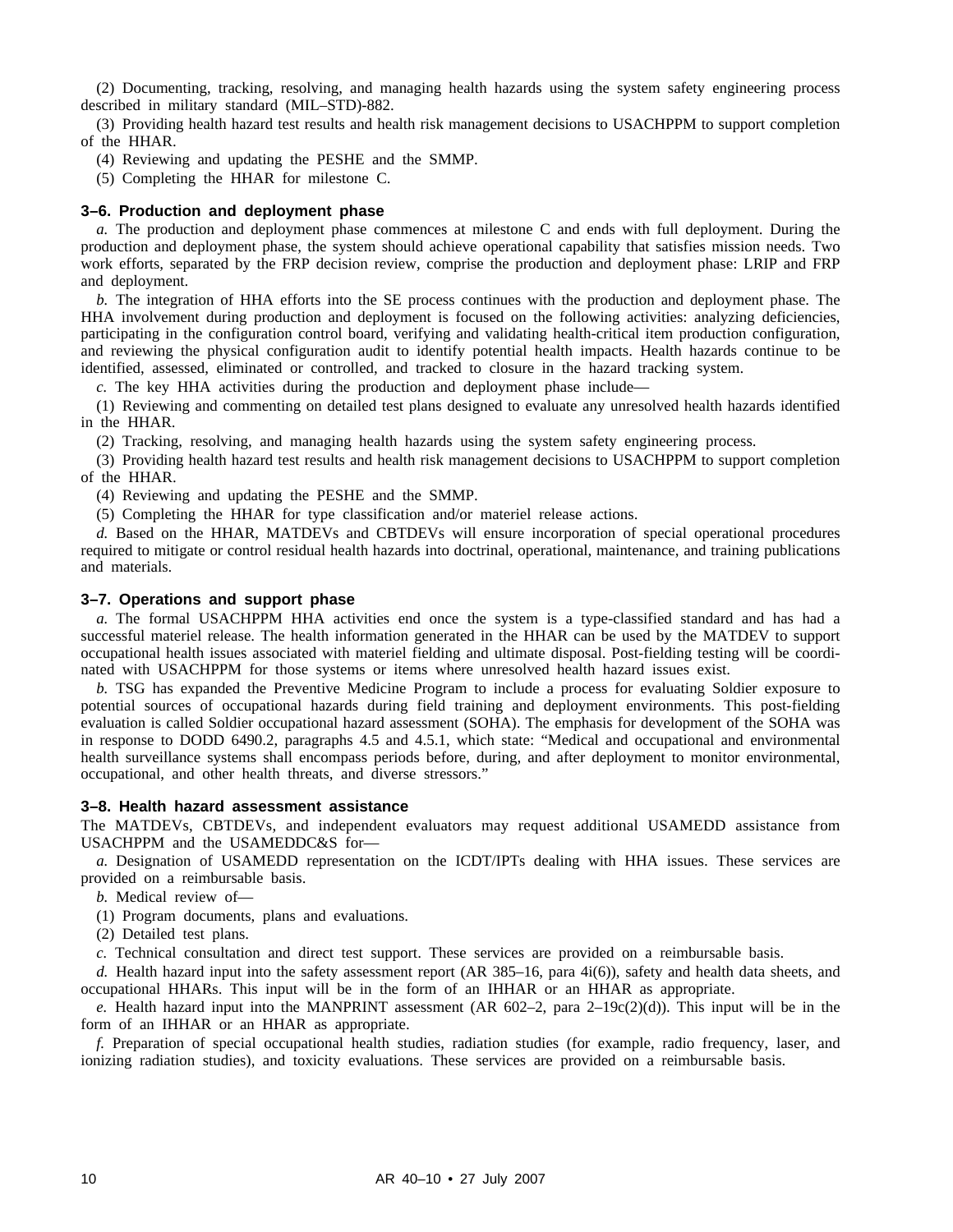(2) Documenting, tracking, resolving, and managing health hazards using the system safety engineering process described in military standard (MIL–STD)-882.

(3) Providing health hazard test results and health risk management decisions to USACHPPM to support completion of the HHAR.

- (4) Reviewing and updating the PESHE and the SMMP.
- (5) Completing the HHAR for milestone C.

#### **3–6. Production and deployment phase**

*a.* The production and deployment phase commences at milestone C and ends with full deployment. During the production and deployment phase, the system should achieve operational capability that satisfies mission needs. Two work efforts, separated by the FRP decision review, comprise the production and deployment phase: LRIP and FRP and deployment.

*b.* The integration of HHA efforts into the SE process continues with the production and deployment phase. The HHA involvement during production and deployment is focused on the following activities: analyzing deficiencies, participating in the configuration control board, verifying and validating health-critical item production configuration, and reviewing the physical configuration audit to identify potential health impacts. Health hazards continue to be identified, assessed, eliminated or controlled, and tracked to closure in the hazard tracking system.

*c.* The key HHA activities during the production and deployment phase include—

(1) Reviewing and commenting on detailed test plans designed to evaluate any unresolved health hazards identified in the HHAR.

(2) Tracking, resolving, and managing health hazards using the system safety engineering process.

(3) Providing health hazard test results and health risk management decisions to USACHPPM to support completion of the HHAR.

(4) Reviewing and updating the PESHE and the SMMP.

(5) Completing the HHAR for type classification and/or materiel release actions.

*d.* Based on the HHAR, MATDEVs and CBTDEVs will ensure incorporation of special operational procedures required to mitigate or control residual health hazards into doctrinal, operational, maintenance, and training publications and materials.

#### **3–7. Operations and support phase**

*a.* The formal USACHPPM HHA activities end once the system is a type-classified standard and has had a successful materiel release. The health information generated in the HHAR can be used by the MATDEV to support occupational health issues associated with materiel fielding and ultimate disposal. Post-fielding testing will be coordinated with USACHPPM for those systems or items where unresolved health hazard issues exist.

*b.* TSG has expanded the Preventive Medicine Program to include a process for evaluating Soldier exposure to potential sources of occupational hazards during field training and deployment environments. This post-fielding evaluation is called Soldier occupational hazard assessment (SOHA). The emphasis for development of the SOHA was in response to DODD 6490.2, paragraphs 4.5 and 4.5.1, which state: "Medical and occupational and environmental health surveillance systems shall encompass periods before, during, and after deployment to monitor environmental, occupational, and other health threats, and diverse stressors."

#### **3–8. Health hazard assessment assistance**

The MATDEVs, CBTDEVs, and independent evaluators may request additional USAMEDD assistance from USACHPPM and the USAMEDDC&S for—

*a.* Designation of USAMEDD representation on the ICDT/IPTs dealing with HHA issues. These services are provided on a reimbursable basis.

*b.* Medical review of—

(1) Program documents, plans and evaluations.

(2) Detailed test plans.

*c.* Technical consultation and direct test support. These services are provided on a reimbursable basis.

*d.* Health hazard input into the safety assessment report (AR 385–16, para 4i(6)), safety and health data sheets, and occupational HHARs. This input will be in the form of an IHHAR or an HHAR as appropriate.

*e.* Health hazard input into the MANPRINT assessment (AR 602–2, para 2–19c(2)(d)). This input will be in the form of an IHHAR or an HHAR as appropriate.

*f.* Preparation of special occupational health studies, radiation studies (for example, radio frequency, laser, and ionizing radiation studies), and toxicity evaluations. These services are provided on a reimbursable basis.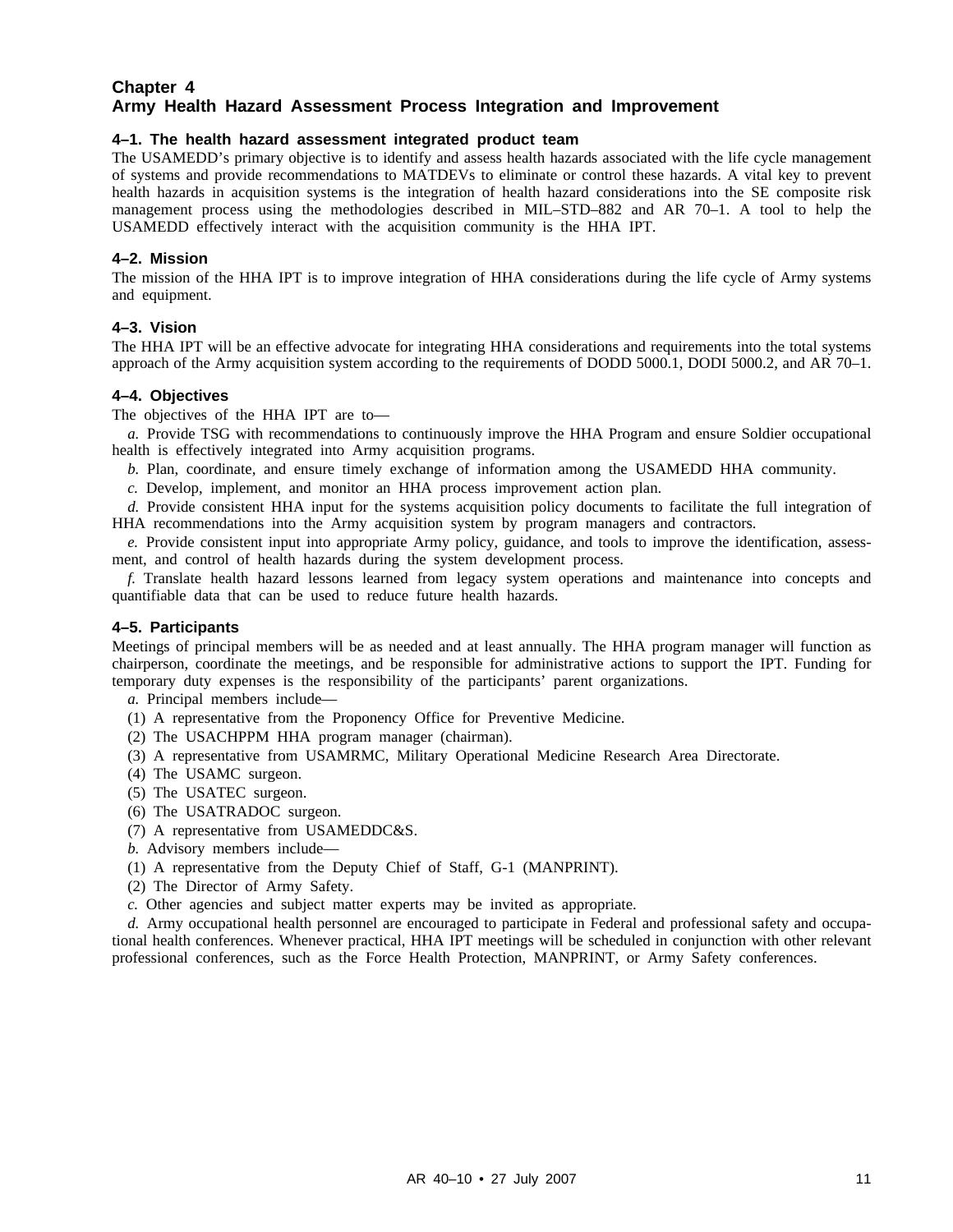#### **Chapter 4 Army Health Hazard Assessment Process Integration and Improvement**

#### **4–1. The health hazard assessment integrated product team**

The USAMEDD's primary objective is to identify and assess health hazards associated with the life cycle management of systems and provide recommendations to MATDEVs to eliminate or control these hazards. A vital key to prevent health hazards in acquisition systems is the integration of health hazard considerations into the SE composite risk management process using the methodologies described in MIL-STD-882 and AR 70–1. A tool to help the USAMEDD effectively interact with the acquisition community is the HHA IPT.

#### **4–2. Mission**

The mission of the HHA IPT is to improve integration of HHA considerations during the life cycle of Army systems and equipment.

#### **4–3. Vision**

The HHA IPT will be an effective advocate for integrating HHA considerations and requirements into the total systems approach of the Army acquisition system according to the requirements of DODD 5000.1, DODI 5000.2, and AR 70–1.

#### **4–4. Objectives**

The objectives of the HHA IPT are to—

*a.* Provide TSG with recommendations to continuously improve the HHA Program and ensure Soldier occupational health is effectively integrated into Army acquisition programs.

- *b.* Plan, coordinate, and ensure timely exchange of information among the USAMEDD HHA community.
- *c.* Develop, implement, and monitor an HHA process improvement action plan.

*d.* Provide consistent HHA input for the systems acquisition policy documents to facilitate the full integration of HHA recommendations into the Army acquisition system by program managers and contractors.

*e.* Provide consistent input into appropriate Army policy, guidance, and tools to improve the identification, assessment, and control of health hazards during the system development process.

*f.* Translate health hazard lessons learned from legacy system operations and maintenance into concepts and quantifiable data that can be used to reduce future health hazards.

#### **4–5. Participants**

Meetings of principal members will be as needed and at least annually. The HHA program manager will function as chairperson, coordinate the meetings, and be responsible for administrative actions to support the IPT. Funding for temporary duty expenses is the responsibility of the participants' parent organizations.

*a.* Principal members include—

- (1) A representative from the Proponency Office for Preventive Medicine.
- (2) The USACHPPM HHA program manager (chairman).
- (3) A representative from USAMRMC, Military Operational Medicine Research Area Directorate.
- (4) The USAMC surgeon.
- (5) The USATEC surgeon.
- (6) The USATRADOC surgeon.
- (7) A representative from USAMEDDC&S.
- *b.* Advisory members include—
- (1) A representative from the Deputy Chief of Staff, G-1 (MANPRINT).
- (2) The Director of Army Safety.
- *c.* Other agencies and subject matter experts may be invited as appropriate.

*d.* Army occupational health personnel are encouraged to participate in Federal and professional safety and occupational health conferences. Whenever practical, HHA IPT meetings will be scheduled in conjunction with other relevant professional conferences, such as the Force Health Protection, MANPRINT, or Army Safety conferences.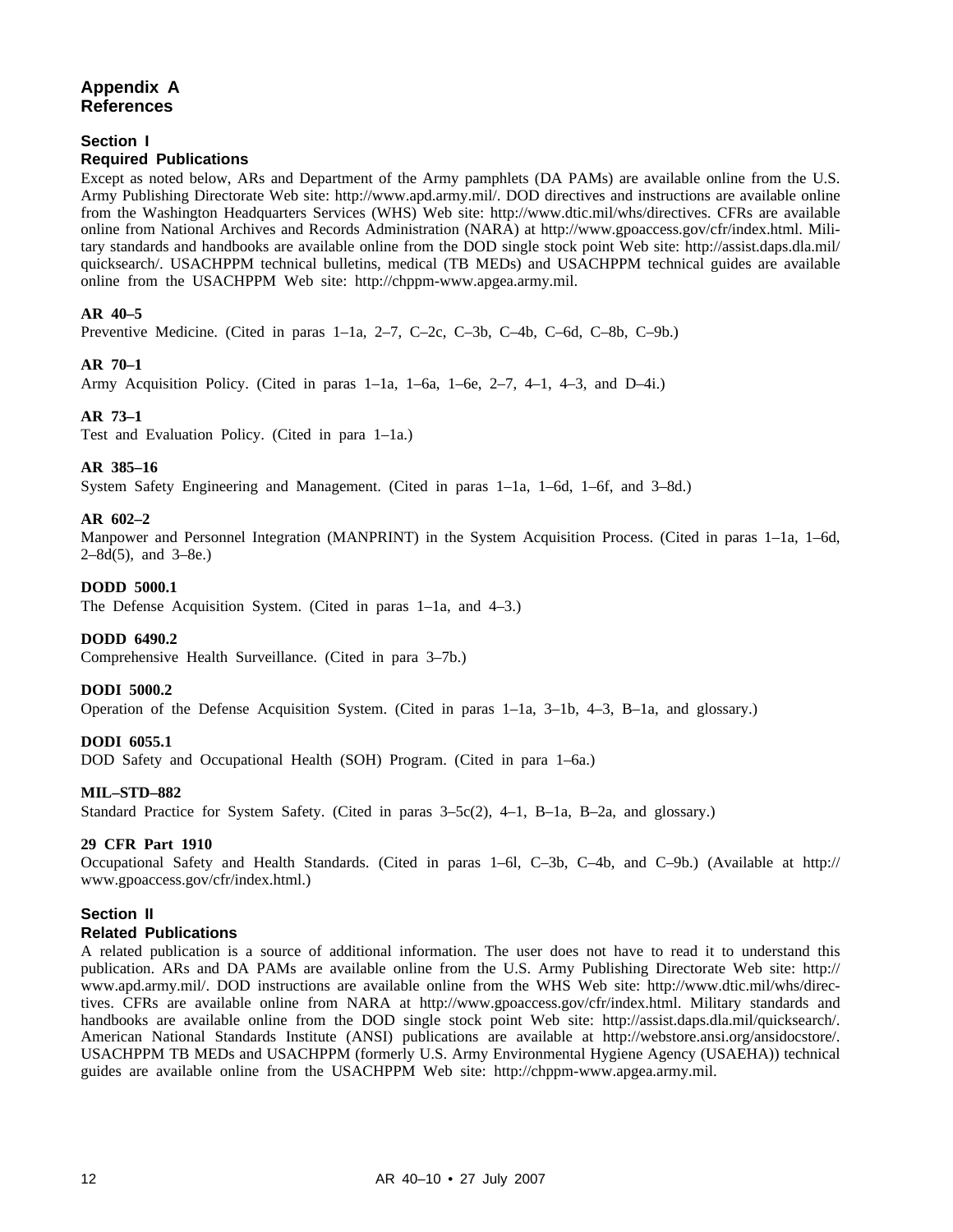#### **Appendix A References**

#### **Section I**

#### **Required Publications**

Except as noted below, ARs and Department of the Army pamphlets (DA PAMs) are available online from the U.S. Army Publishing Directorate Web site: http://www.apd.army.mil/. DOD directives and instructions are available online from the Washington Headquarters Services (WHS) Web site: http://www.dtic.mil/whs/directives. CFRs are available online from National Archives and Records Administration (NARA) at http://www.gpoaccess.gov/cfr/index.html. Military standards and handbooks are available online from the DOD single stock point Web site: http://assist.daps.dla.mil/ quicksearch/. USACHPPM technical bulletins, medical (TB MEDs) and USACHPPM technical guides are available online from the USACHPPM Web site: http://chppm-www.apgea.army.mil.

#### **AR 40–5**

Preventive Medicine. (Cited in paras 1–1a, 2–7, C–2c, C–3b, C–4b, C–6d, C–8b, C–9b.)

#### **AR 70–1**

Army Acquisition Policy. (Cited in paras 1–1a, 1–6a, 1–6e, 2–7, 4–1, 4–3, and D–4i.)

#### **AR 73–1**

Test and Evaluation Policy. (Cited in para 1–1a.)

#### **AR 385–16**

System Safety Engineering and Management. (Cited in paras 1–1a, 1–6d, 1–6f, and 3–8d.)

#### **AR 602–2**

Manpower and Personnel Integration (MANPRINT) in the System Acquisition Process. (Cited in paras 1–1a, 1–6d,  $2-8d(5)$ , and  $3-8e$ .)

#### **DODD 5000.1**

The Defense Acquisition System. (Cited in paras 1–1a, and 4–3.)

#### **DODD 6490.2**

Comprehensive Health Surveillance. (Cited in para 3–7b.)

#### **DODI 5000.2**

Operation of the Defense Acquisition System. (Cited in paras 1–1a, 3–1b, 4–3, B–1a, and glossary.)

#### **DODI 6055.1**

DOD Safety and Occupational Health (SOH) Program. (Cited in para 1–6a.)

#### **MIL–STD–882**

Standard Practice for System Safety. (Cited in paras 3–5c(2), 4–1, B–1a, B–2a, and glossary.)

#### **29 CFR Part 1910**

Occupational Safety and Health Standards. (Cited in paras 1–6l, C–3b, C–4b, and C–9b.) (Available at http:// www.gpoaccess.gov/cfr/index.html.)

#### **Section II**

#### **Related Publications**

A related publication is a source of additional information. The user does not have to read it to understand this publication. ARs and DA PAMs are available online from the U.S. Army Publishing Directorate Web site: http:// www.apd.army.mil/. DOD instructions are available online from the WHS Web site: http://www.dtic.mil/whs/directives. CFRs are available online from NARA at http://www.gpoaccess.gov/cfr/index.html. Military standards and handbooks are available online from the DOD single stock point Web site: http://assist.daps.dla.mil/quicksearch/. American National Standards Institute (ANSI) publications are available at http://webstore.ansi.org/ansidocstore/. USACHPPM TB MEDs and USACHPPM (formerly U.S. Army Environmental Hygiene Agency (USAEHA)) technical guides are available online from the USACHPPM Web site: http://chppm-www.apgea.army.mil.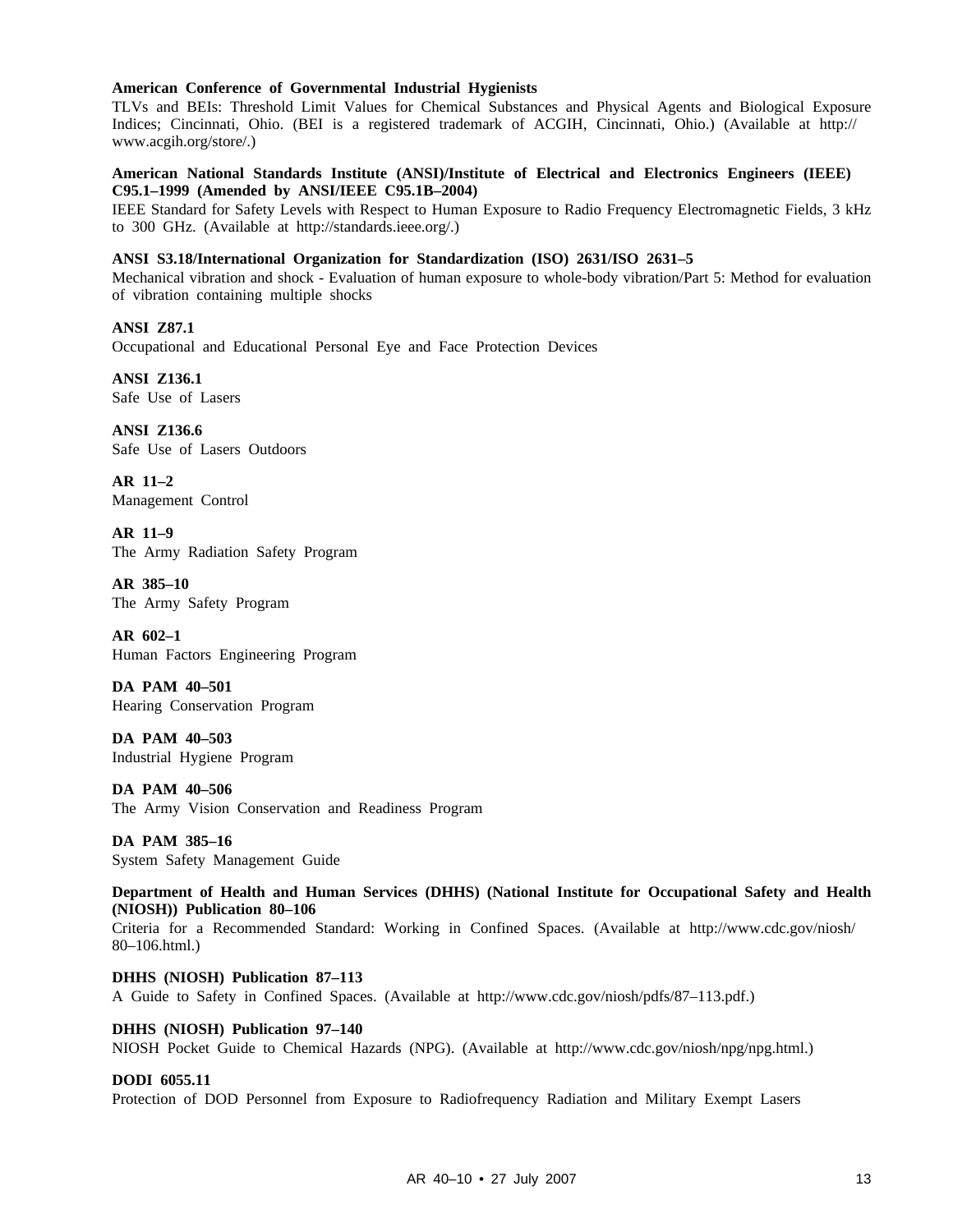#### **American Conference of Governmental Industrial Hygienists**

TLVs and BEIs: Threshold Limit Values for Chemical Substances and Physical Agents and Biological Exposure Indices; Cincinnati, Ohio. (BEI is a registered trademark of ACGIH, Cincinnati, Ohio.) (Available at http:// www.acgih.org/store/.)

#### **American National Standards Institute (ANSI)/Institute of Electrical and Electronics Engineers (IEEE) C95.1–1999 (Amended by ANSI/IEEE C95.1B–2004)**

IEEE Standard for Safety Levels with Respect to Human Exposure to Radio Frequency Electromagnetic Fields, 3 kHz to 300 GHz. (Available at http://standards.ieee.org/.)

#### **ANSI S3.18/International Organization for Standardization (ISO) 2631/ISO 2631–5**

Mechanical vibration and shock - Evaluation of human exposure to whole-body vibration/Part 5: Method for evaluation of vibration containing multiple shocks

**ANSI Z87.1** Occupational and Educational Personal Eye and Face Protection Devices

**ANSI Z136.1** Safe Use of Lasers

**ANSI Z136.6** Safe Use of Lasers Outdoors

**AR 11–2** Management Control

**AR 11–9** The Army Radiation Safety Program

**AR 385–10** The Army Safety Program

**AR 602–1** Human Factors Engineering Program

**DA PAM 40–501** Hearing Conservation Program

**DA PAM 40–503** Industrial Hygiene Program

**DA PAM 40–506** The Army Vision Conservation and Readiness Program

**DA PAM 385–16** System Safety Management Guide

**Department of Health and Human Services (DHHS) (National Institute for Occupational Safety and Health (NIOSH)) Publication 80–106**

Criteria for a Recommended Standard: Working in Confined Spaces. (Available at http://www.cdc.gov/niosh/ 80–106.html.)

**DHHS (NIOSH) Publication 87–113** A Guide to Safety in Confined Spaces. (Available at http://www.cdc.gov/niosh/pdfs/87–113.pdf.)

#### **DHHS (NIOSH) Publication 97–140**

NIOSH Pocket Guide to Chemical Hazards (NPG). (Available at http://www.cdc.gov/niosh/npg/npg.html.)

#### **DODI 6055.11**

Protection of DOD Personnel from Exposure to Radiofrequency Radiation and Military Exempt Lasers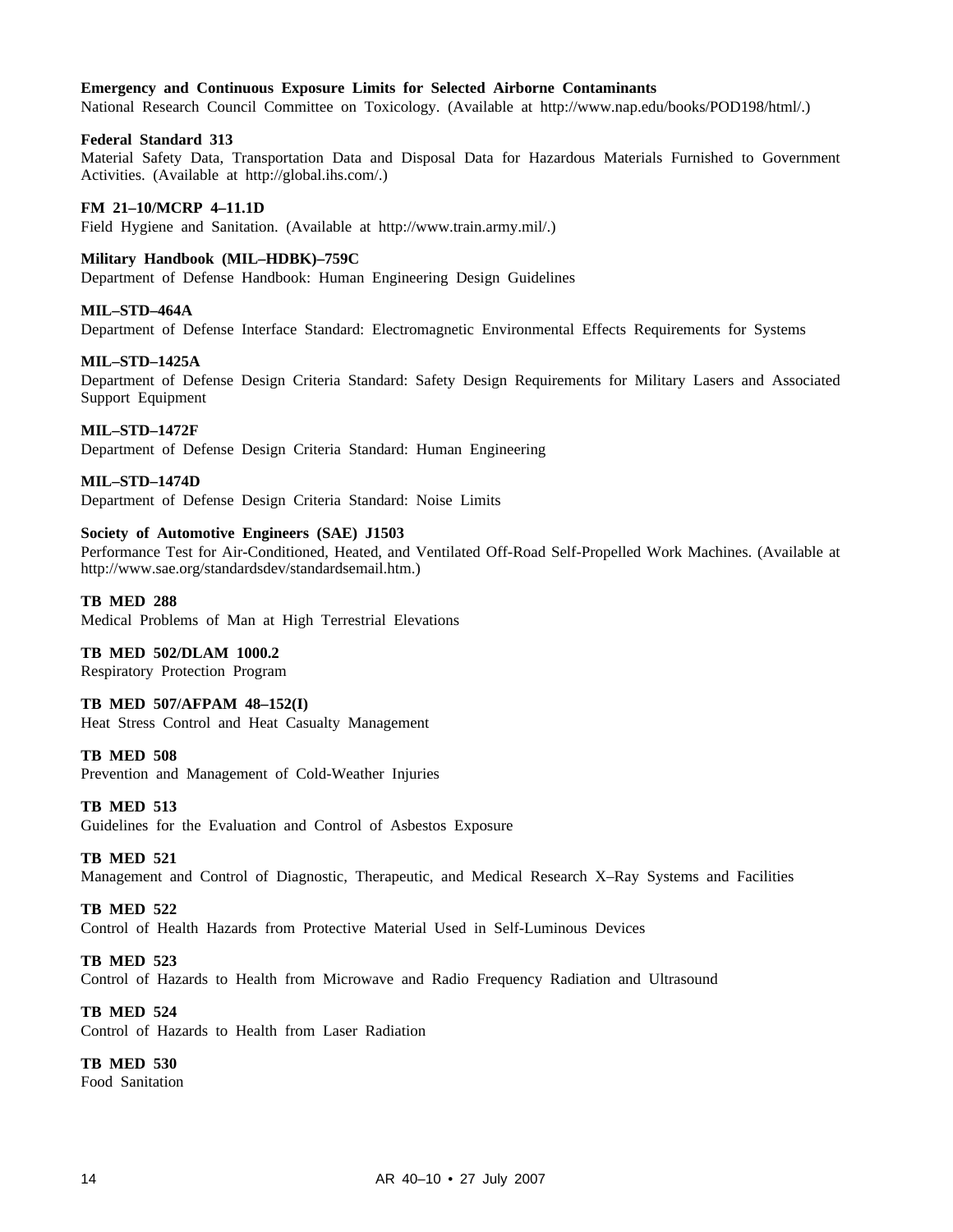#### **Emergency and Continuous Exposure Limits for Selected Airborne Contaminants**

National Research Council Committee on Toxicology. (Available at http://www.nap.edu/books/POD198/html/.)

#### **Federal Standard 313**

Material Safety Data, Transportation Data and Disposal Data for Hazardous Materials Furnished to Government Activities. (Available at http://global.ihs.com/.)

#### **FM 21–10/MCRP 4–11.1D**

Field Hygiene and Sanitation. (Available at http://www.train.army.mil/.)

#### **Military Handbook (MIL–HDBK)–759C**

Department of Defense Handbook: Human Engineering Design Guidelines

#### **MIL–STD–464A**

Department of Defense Interface Standard: Electromagnetic Environmental Effects Requirements for Systems

#### **MIL–STD–1425A**

Department of Defense Design Criteria Standard: Safety Design Requirements for Military Lasers and Associated Support Equipment

#### **MIL–STD–1472F**

Department of Defense Design Criteria Standard: Human Engineering

#### **MIL–STD–1474D**

Department of Defense Design Criteria Standard: Noise Limits

#### **Society of Automotive Engineers (SAE) J1503**

Performance Test for Air-Conditioned, Heated, and Ventilated Off-Road Self-Propelled Work Machines. (Available at http://www.sae.org/standardsdev/standardsemail.htm.)

#### **TB MED 288**

Medical Problems of Man at High Terrestrial Elevations

#### **TB MED 502/DLAM 1000.2**

Respiratory Protection Program

#### **TB MED 507/AFPAM 48–152(I)**

Heat Stress Control and Heat Casualty Management

#### **TB MED 508**

Prevention and Management of Cold-Weather Injuries

#### **TB MED 513**

Guidelines for the Evaluation and Control of Asbestos Exposure

#### **TB MED 521**

Management and Control of Diagnostic, Therapeutic, and Medical Research X–Ray Systems and Facilities

#### **TB MED 522**

Control of Health Hazards from Protective Material Used in Self-Luminous Devices

#### **TB MED 523**

Control of Hazards to Health from Microwave and Radio Frequency Radiation and Ultrasound

#### **TB MED 524**

Control of Hazards to Health from Laser Radiation

#### **TB MED 530**

Food Sanitation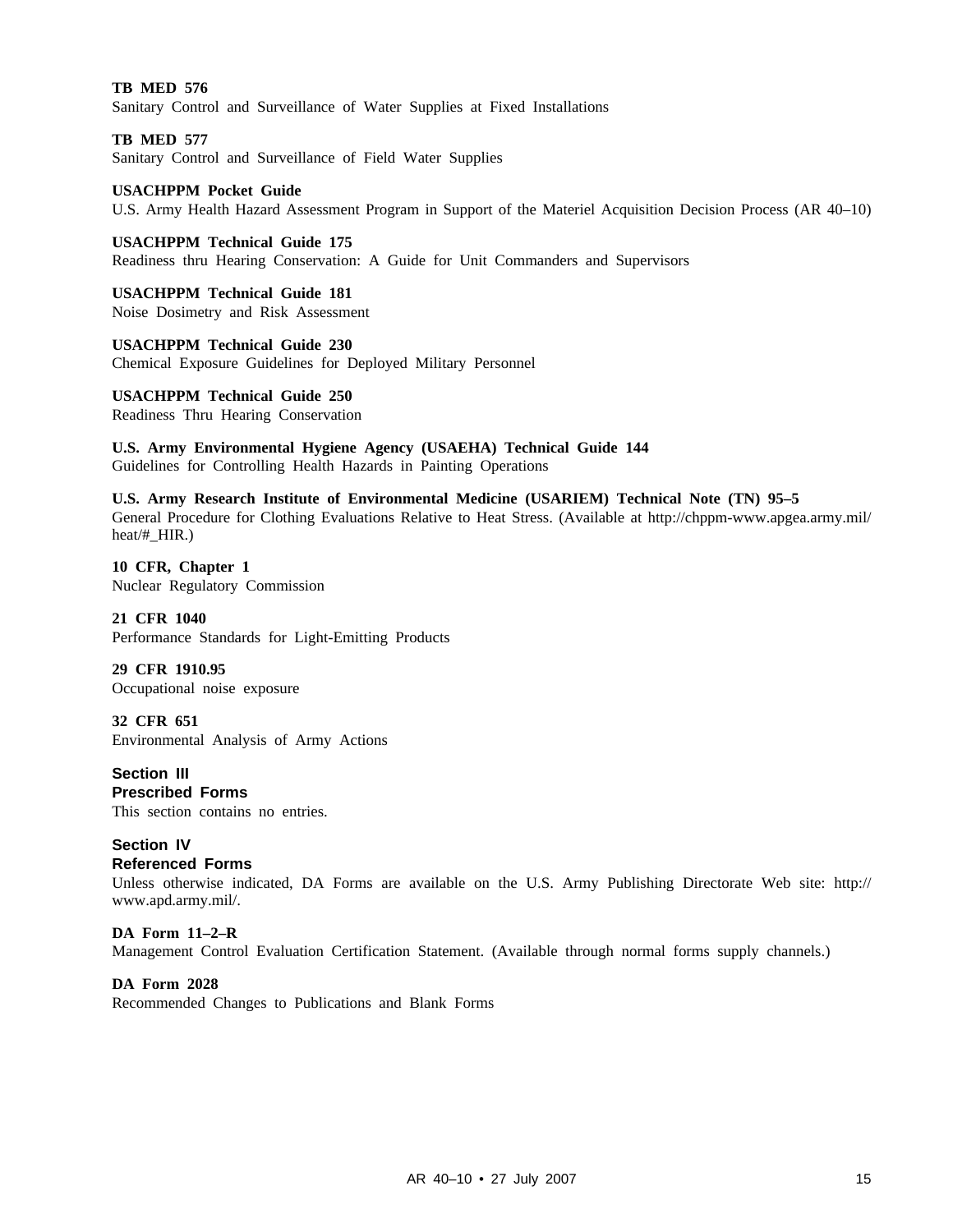**TB MED 576** Sanitary Control and Surveillance of Water Supplies at Fixed Installations

**TB MED 577** Sanitary Control and Surveillance of Field Water Supplies

**USACHPPM Pocket Guide** U.S. Army Health Hazard Assessment Program in Support of the Materiel Acquisition Decision Process (AR 40–10)

**USACHPPM Technical Guide 175** Readiness thru Hearing Conservation: A Guide for Unit Commanders and Supervisors

**USACHPPM Technical Guide 181** Noise Dosimetry and Risk Assessment

**USACHPPM Technical Guide 230** Chemical Exposure Guidelines for Deployed Military Personnel

**USACHPPM Technical Guide 250** Readiness Thru Hearing Conservation

**U.S. Army Environmental Hygiene Agency (USAEHA) Technical Guide 144** Guidelines for Controlling Health Hazards in Painting Operations

**U.S. Army Research Institute of Environmental Medicine (USARIEM) Technical Note (TN) 95–5** General Procedure for Clothing Evaluations Relative to Heat Stress. (Available at http://chppm-www.apgea.army.mil/ heat/#\_HIR.)

**10 CFR, Chapter 1** Nuclear Regulatory Commission

**21 CFR 1040** Performance Standards for Light-Emitting Products

**29 CFR 1910.95** Occupational noise exposure

**32 CFR 651** Environmental Analysis of Army Actions

**Section III Prescribed Forms** This section contains no entries.

**Section IV Referenced Forms**

Unless otherwise indicated, DA Forms are available on the U.S. Army Publishing Directorate Web site: http:// www.apd.army.mil/.

**DA Form 11–2–R** Management Control Evaluation Certification Statement. (Available through normal forms supply channels.)

**DA Form 2028** Recommended Changes to Publications and Blank Forms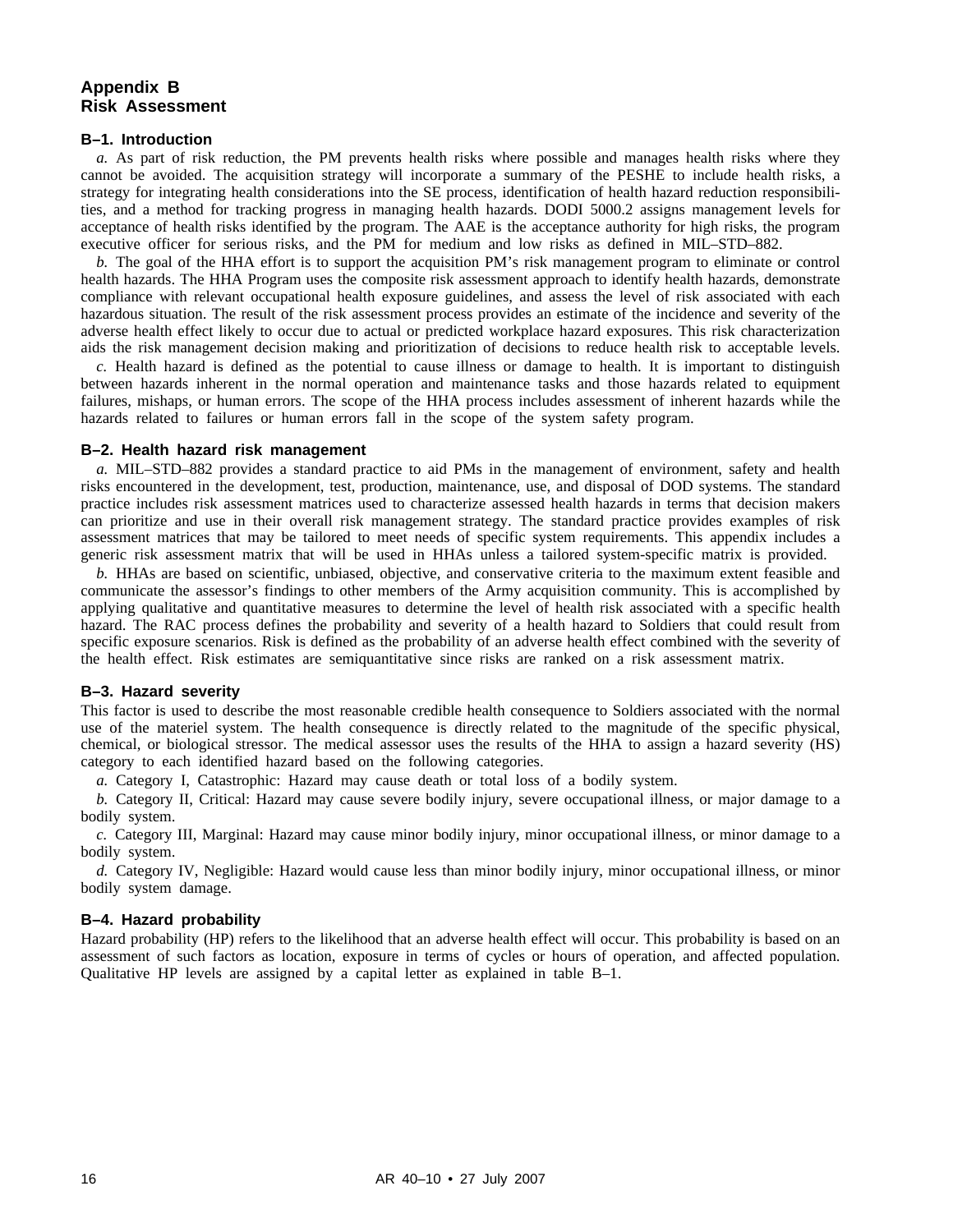#### **Appendix B Risk Assessment**

#### **B–1. Introduction**

*a.* As part of risk reduction, the PM prevents health risks where possible and manages health risks where they cannot be avoided. The acquisition strategy will incorporate a summary of the PESHE to include health risks, a strategy for integrating health considerations into the SE process, identification of health hazard reduction responsibilities, and a method for tracking progress in managing health hazards. DODI 5000.2 assigns management levels for acceptance of health risks identified by the program. The AAE is the acceptance authority for high risks, the program executive officer for serious risks, and the PM for medium and low risks as defined in MIL–STD–882.

*b.* The goal of the HHA effort is to support the acquisition PM's risk management program to eliminate or control health hazards. The HHA Program uses the composite risk assessment approach to identify health hazards, demonstrate compliance with relevant occupational health exposure guidelines, and assess the level of risk associated with each hazardous situation. The result of the risk assessment process provides an estimate of the incidence and severity of the adverse health effect likely to occur due to actual or predicted workplace hazard exposures. This risk characterization aids the risk management decision making and prioritization of decisions to reduce health risk to acceptable levels.

*c.* Health hazard is defined as the potential to cause illness or damage to health. It is important to distinguish between hazards inherent in the normal operation and maintenance tasks and those hazards related to equipment failures, mishaps, or human errors. The scope of the HHA process includes assessment of inherent hazards while the hazards related to failures or human errors fall in the scope of the system safety program.

#### **B–2. Health hazard risk management**

*a.* MIL–STD–882 provides a standard practice to aid PMs in the management of environment, safety and health risks encountered in the development, test, production, maintenance, use, and disposal of DOD systems. The standard practice includes risk assessment matrices used to characterize assessed health hazards in terms that decision makers can prioritize and use in their overall risk management strategy. The standard practice provides examples of risk assessment matrices that may be tailored to meet needs of specific system requirements. This appendix includes a generic risk assessment matrix that will be used in HHAs unless a tailored system-specific matrix is provided.

*b.* HHAs are based on scientific, unbiased, objective, and conservative criteria to the maximum extent feasible and communicate the assessor's findings to other members of the Army acquisition community. This is accomplished by applying qualitative and quantitative measures to determine the level of health risk associated with a specific health hazard. The RAC process defines the probability and severity of a health hazard to Soldiers that could result from specific exposure scenarios. Risk is defined as the probability of an adverse health effect combined with the severity of the health effect. Risk estimates are semiquantitative since risks are ranked on a risk assessment matrix.

#### **B–3. Hazard severity**

This factor is used to describe the most reasonable credible health consequence to Soldiers associated with the normal use of the materiel system. The health consequence is directly related to the magnitude of the specific physical, chemical, or biological stressor. The medical assessor uses the results of the HHA to assign a hazard severity (HS) category to each identified hazard based on the following categories.

*a.* Category I, Catastrophic: Hazard may cause death or total loss of a bodily system.

*b.* Category II, Critical: Hazard may cause severe bodily injury, severe occupational illness, or major damage to a bodily system.

*c.* Category III, Marginal: Hazard may cause minor bodily injury, minor occupational illness, or minor damage to a bodily system.

*d.* Category IV, Negligible: Hazard would cause less than minor bodily injury, minor occupational illness, or minor bodily system damage.

#### **B–4. Hazard probability**

Hazard probability (HP) refers to the likelihood that an adverse health effect will occur. This probability is based on an assessment of such factors as location, exposure in terms of cycles or hours of operation, and affected population. Qualitative HP levels are assigned by a capital letter as explained in table B–1.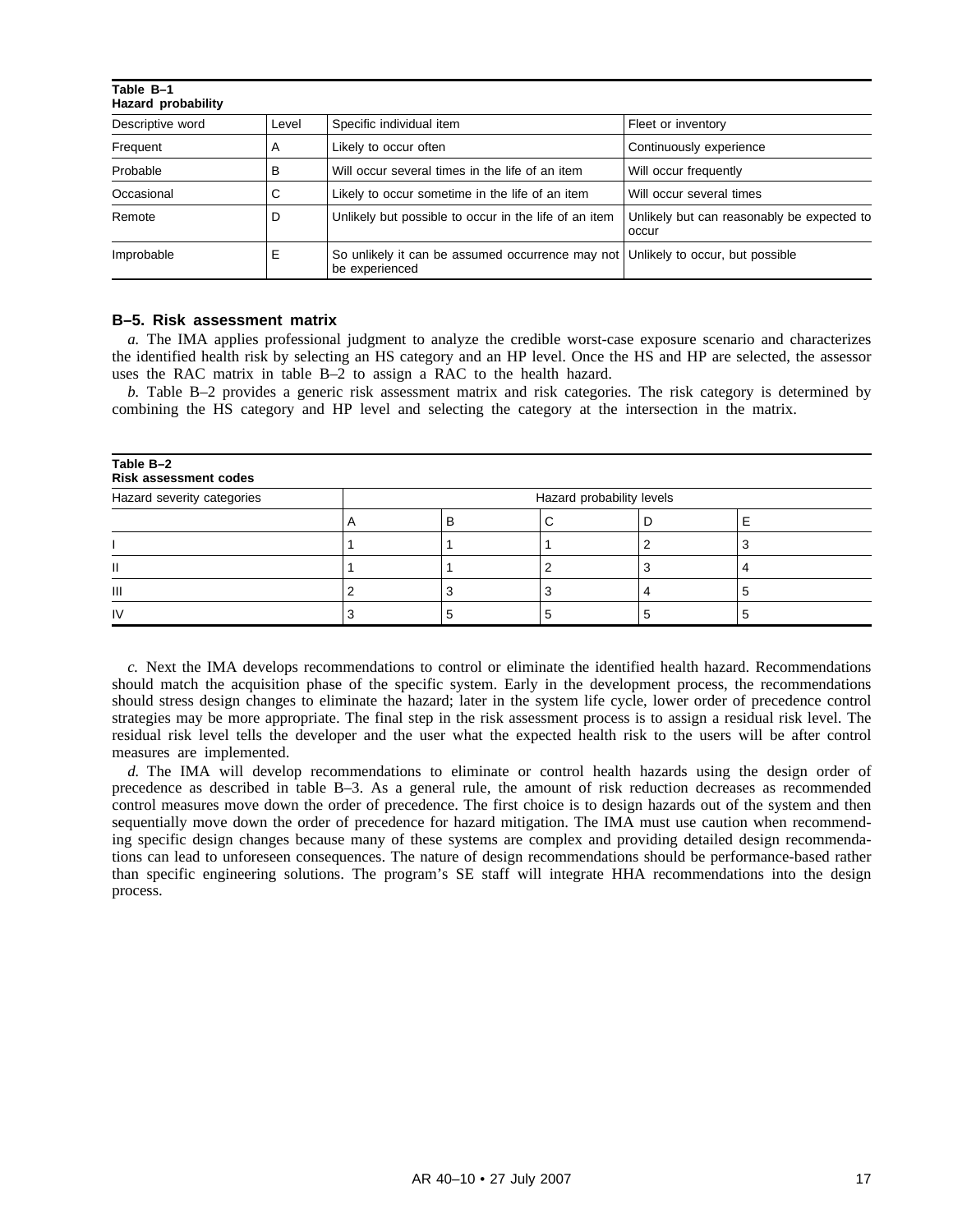| Table B-1<br><b>Hazard probability</b> |       |                                                                    |                                                     |  |  |  |  |
|----------------------------------------|-------|--------------------------------------------------------------------|-----------------------------------------------------|--|--|--|--|
| Descriptive word                       | Level | Specific individual item                                           | Fleet or inventory                                  |  |  |  |  |
| Frequent                               | A     | Likely to occur often                                              | Continuously experience                             |  |  |  |  |
| Probable                               | в     | Will occur several times in the life of an item                    | Will occur frequently                               |  |  |  |  |
| Occasional                             | С     | Likely to occur sometime in the life of an item                    | Will occur several times                            |  |  |  |  |
| Remote                                 | D     | Unlikely but possible to occur in the life of an item              | Unlikely but can reasonably be expected to<br>occur |  |  |  |  |
| Improbable                             | Е     | So unlikely it can be assumed occurrence may not<br>be experienced | Unlikely to occur, but possible                     |  |  |  |  |

#### **B–5. Risk assessment matrix**

*a.* The IMA applies professional judgment to analyze the credible worst-case exposure scenario and characterizes the identified health risk by selecting an HS category and an HP level. Once the HS and HP are selected, the assessor uses the RAC matrix in table B–2 to assign a RAC to the health hazard.

*b.* Table B–2 provides a generic risk assessment matrix and risk categories. The risk category is determined by combining the HS category and HP level and selecting the category at the intersection in the matrix.

| Table B-2<br><b>Risk assessment codes</b> |                           |  |  |  |  |  |
|-------------------------------------------|---------------------------|--|--|--|--|--|
| Hazard severity categories                | Hazard probability levels |  |  |  |  |  |
|                                           |                           |  |  |  |  |  |
|                                           |                           |  |  |  |  |  |
| Ш                                         |                           |  |  |  |  |  |
| Ш                                         |                           |  |  |  |  |  |
| IV                                        |                           |  |  |  |  |  |

*c.* Next the IMA develops recommendations to control or eliminate the identified health hazard. Recommendations should match the acquisition phase of the specific system. Early in the development process, the recommendations should stress design changes to eliminate the hazard; later in the system life cycle, lower order of precedence control strategies may be more appropriate. The final step in the risk assessment process is to assign a residual risk level. The residual risk level tells the developer and the user what the expected health risk to the users will be after control measures are implemented.

*d.* The IMA will develop recommendations to eliminate or control health hazards using the design order of precedence as described in table B–3. As a general rule, the amount of risk reduction decreases as recommended control measures move down the order of precedence. The first choice is to design hazards out of the system and then sequentially move down the order of precedence for hazard mitigation. The IMA must use caution when recommending specific design changes because many of these systems are complex and providing detailed design recommendations can lead to unforeseen consequences. The nature of design recommendations should be performance-based rather than specific engineering solutions. The program's SE staff will integrate HHA recommendations into the design process.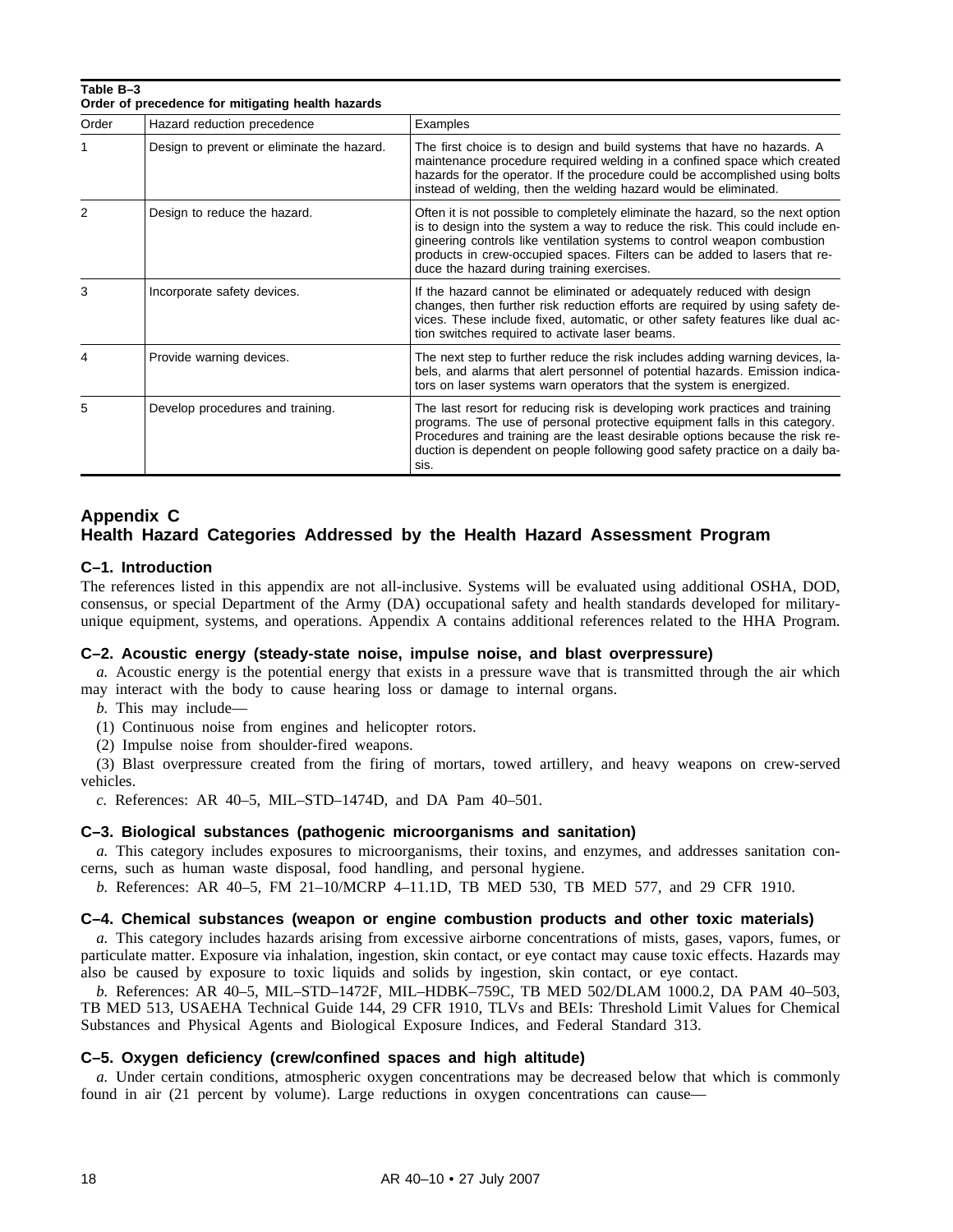| Table B-3<br>Order of precedence for mitigating health hazards |                                            |                                                                                                                                                                                                                                                                                                                                                                         |  |  |  |
|----------------------------------------------------------------|--------------------------------------------|-------------------------------------------------------------------------------------------------------------------------------------------------------------------------------------------------------------------------------------------------------------------------------------------------------------------------------------------------------------------------|--|--|--|
| Order                                                          | Hazard reduction precedence                | Examples                                                                                                                                                                                                                                                                                                                                                                |  |  |  |
| 1                                                              | Design to prevent or eliminate the hazard. | The first choice is to design and build systems that have no hazards. A<br>maintenance procedure required welding in a confined space which created<br>hazards for the operator. If the procedure could be accomplished using bolts<br>instead of welding, then the welding hazard would be eliminated.                                                                 |  |  |  |
| 2                                                              | Design to reduce the hazard.               | Often it is not possible to completely eliminate the hazard, so the next option<br>is to design into the system a way to reduce the risk. This could include en-<br>gineering controls like ventilation systems to control weapon combustion<br>products in crew-occupied spaces. Filters can be added to lasers that re-<br>duce the hazard during training exercises. |  |  |  |
| 3                                                              | Incorporate safety devices.                | If the hazard cannot be eliminated or adequately reduced with design<br>changes, then further risk reduction efforts are required by using safety de-<br>vices. These include fixed, automatic, or other safety features like dual ac-<br>tion switches required to activate laser beams.                                                                               |  |  |  |
| 4                                                              | Provide warning devices.                   | The next step to further reduce the risk includes adding warning devices, la-<br>bels, and alarms that alert personnel of potential hazards. Emission indica-<br>tors on laser systems warn operators that the system is energized.                                                                                                                                     |  |  |  |
| 5                                                              | Develop procedures and training.           | The last resort for reducing risk is developing work practices and training<br>programs. The use of personal protective equipment falls in this category.<br>Procedures and training are the least desirable options because the risk re-<br>duction is dependent on people following good safety practice on a daily ba-<br>sis.                                       |  |  |  |

### **Appendix C**

## **Health Hazard Categories Addressed by the Health Hazard Assessment Program**

#### **C–1. Introduction**

The references listed in this appendix are not all-inclusive. Systems will be evaluated using additional OSHA, DOD, consensus, or special Department of the Army (DA) occupational safety and health standards developed for militaryunique equipment, systems, and operations. Appendix A contains additional references related to the HHA Program.

#### **C–2. Acoustic energy (steady-state noise, impulse noise, and blast overpressure)**

*a.* Acoustic energy is the potential energy that exists in a pressure wave that is transmitted through the air which may interact with the body to cause hearing loss or damage to internal organs.

*b.* This may include—

(1) Continuous noise from engines and helicopter rotors.

(2) Impulse noise from shoulder-fired weapons.

(3) Blast overpressure created from the firing of mortars, towed artillery, and heavy weapons on crew-served vehicles.

*c.* References: AR 40–5, MIL–STD–1474D, and DA Pam 40–501.

#### **C–3. Biological substances (pathogenic microorganisms and sanitation)**

*a.* This category includes exposures to microorganisms, their toxins, and enzymes, and addresses sanitation concerns, such as human waste disposal, food handling, and personal hygiene.

*b.* References: AR 40–5, FM 21–10/MCRP 4–11.1D, TB MED 530, TB MED 577, and 29 CFR 1910.

#### **C–4. Chemical substances (weapon or engine combustion products and other toxic materials)**

*a.* This category includes hazards arising from excessive airborne concentrations of mists, gases, vapors, fumes, or particulate matter. Exposure via inhalation, ingestion, skin contact, or eye contact may cause toxic effects. Hazards may also be caused by exposure to toxic liquids and solids by ingestion, skin contact, or eye contact.

*b.* References: AR 40–5, MIL–STD–1472F, MIL–HDBK–759C, TB MED 502/DLAM 1000.2, DA PAM 40–503, TB MED 513, USAEHA Technical Guide 144, 29 CFR 1910, TLVs and BEIs: Threshold Limit Values for Chemical Substances and Physical Agents and Biological Exposure Indices, and Federal Standard 313.

#### **C–5. Oxygen deficiency (crew/confined spaces and high altitude)**

*a.* Under certain conditions, atmospheric oxygen concentrations may be decreased below that which is commonly found in air (21 percent by volume). Large reductions in oxygen concentrations can cause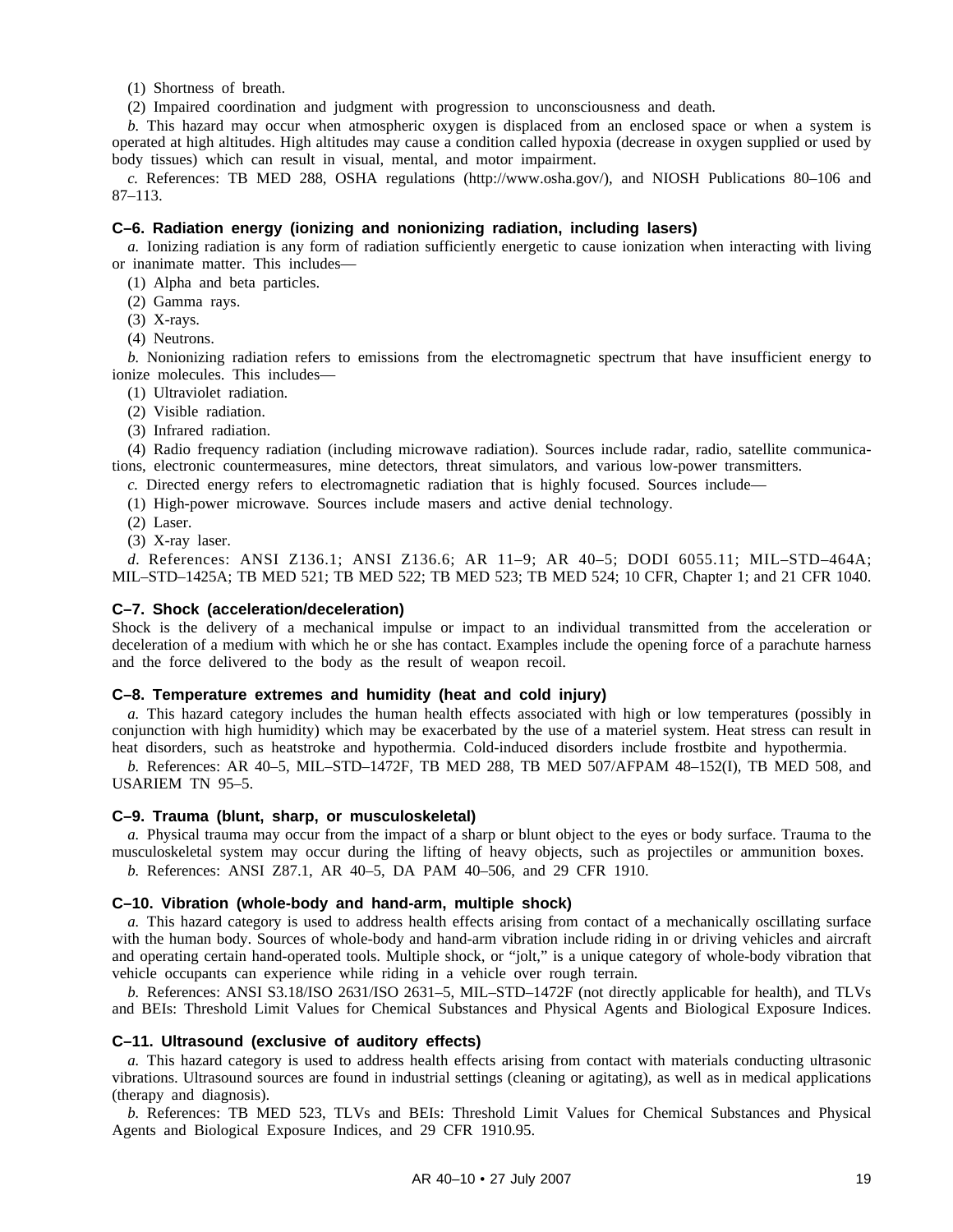(1) Shortness of breath.

(2) Impaired coordination and judgment with progression to unconsciousness and death.

*b.* This hazard may occur when atmospheric oxygen is displaced from an enclosed space or when a system is operated at high altitudes. High altitudes may cause a condition called hypoxia (decrease in oxygen supplied or used by body tissues) which can result in visual, mental, and motor impairment.

*c.* References: TB MED 288, OSHA regulations (http://www.osha.gov/), and NIOSH Publications 80–106 and 87–113.

#### **C–6. Radiation energy (ionizing and nonionizing radiation, including lasers)**

*a.* Ionizing radiation is any form of radiation sufficiently energetic to cause ionization when interacting with living or inanimate matter. This includes—

(1) Alpha and beta particles.

- (2) Gamma rays.
- (3) X-rays.

(4) Neutrons.

*b.* Nonionizing radiation refers to emissions from the electromagnetic spectrum that have insufficient energy to ionize molecules. This includes—

- (1) Ultraviolet radiation.
- (2) Visible radiation.
- (3) Infrared radiation.

(4) Radio frequency radiation (including microwave radiation). Sources include radar, radio, satellite communications, electronic countermeasures, mine detectors, threat simulators, and various low-power transmitters.

*c.* Directed energy refers to electromagnetic radiation that is highly focused. Sources include—

- (1) High-power microwave. Sources include masers and active denial technology.
- (2) Laser.
- (3) X-ray laser.

*d.* References: ANSI Z136.1; ANSI Z136.6; AR 11-9; AR 40-5; DODI 6055.11; MIL-STD-464A; MIL–STD–1425A; TB MED 521; TB MED 522; TB MED 523; TB MED 524; 10 CFR, Chapter 1; and 21 CFR 1040.

#### **C–7. Shock (acceleration/deceleration)**

Shock is the delivery of a mechanical impulse or impact to an individual transmitted from the acceleration or deceleration of a medium with which he or she has contact. Examples include the opening force of a parachute harness and the force delivered to the body as the result of weapon recoil.

#### **C–8. Temperature extremes and humidity (heat and cold injury)**

*a.* This hazard category includes the human health effects associated with high or low temperatures (possibly in conjunction with high humidity) which may be exacerbated by the use of a materiel system. Heat stress can result in heat disorders, such as heatstroke and hypothermia. Cold-induced disorders include frostbite and hypothermia.

*b.* References: AR 40–5, MIL–STD–1472F, TB MED 288, TB MED 507/AFPAM 48–152(I), TB MED 508, and USARIEM TN 95–5.

#### **C–9. Trauma (blunt, sharp, or musculoskeletal)**

*a.* Physical trauma may occur from the impact of a sharp or blunt object to the eyes or body surface. Trauma to the musculoskeletal system may occur during the lifting of heavy objects, such as projectiles or ammunition boxes. *b.* References: ANSI Z87.1, AR 40–5, DA PAM 40–506, and 29 CFR 1910.

#### **C–10. Vibration (whole-body and hand-arm, multiple shock)**

*a.* This hazard category is used to address health effects arising from contact of a mechanically oscillating surface with the human body. Sources of whole-body and hand-arm vibration include riding in or driving vehicles and aircraft and operating certain hand-operated tools. Multiple shock, or "jolt," is a unique category of whole-body vibration that vehicle occupants can experience while riding in a vehicle over rough terrain.

*b.* References: ANSI S3.18/ISO 2631/ISO 2631–5, MIL–STD–1472F (not directly applicable for health), and TLVs and BEIs: Threshold Limit Values for Chemical Substances and Physical Agents and Biological Exposure Indices.

#### **C–11. Ultrasound (exclusive of auditory effects)**

*a.* This hazard category is used to address health effects arising from contact with materials conducting ultrasonic vibrations. Ultrasound sources are found in industrial settings (cleaning or agitating), as well as in medical applications (therapy and diagnosis).

*b.* References: TB MED 523, TLVs and BEIs: Threshold Limit Values for Chemical Substances and Physical Agents and Biological Exposure Indices, and 29 CFR 1910.95.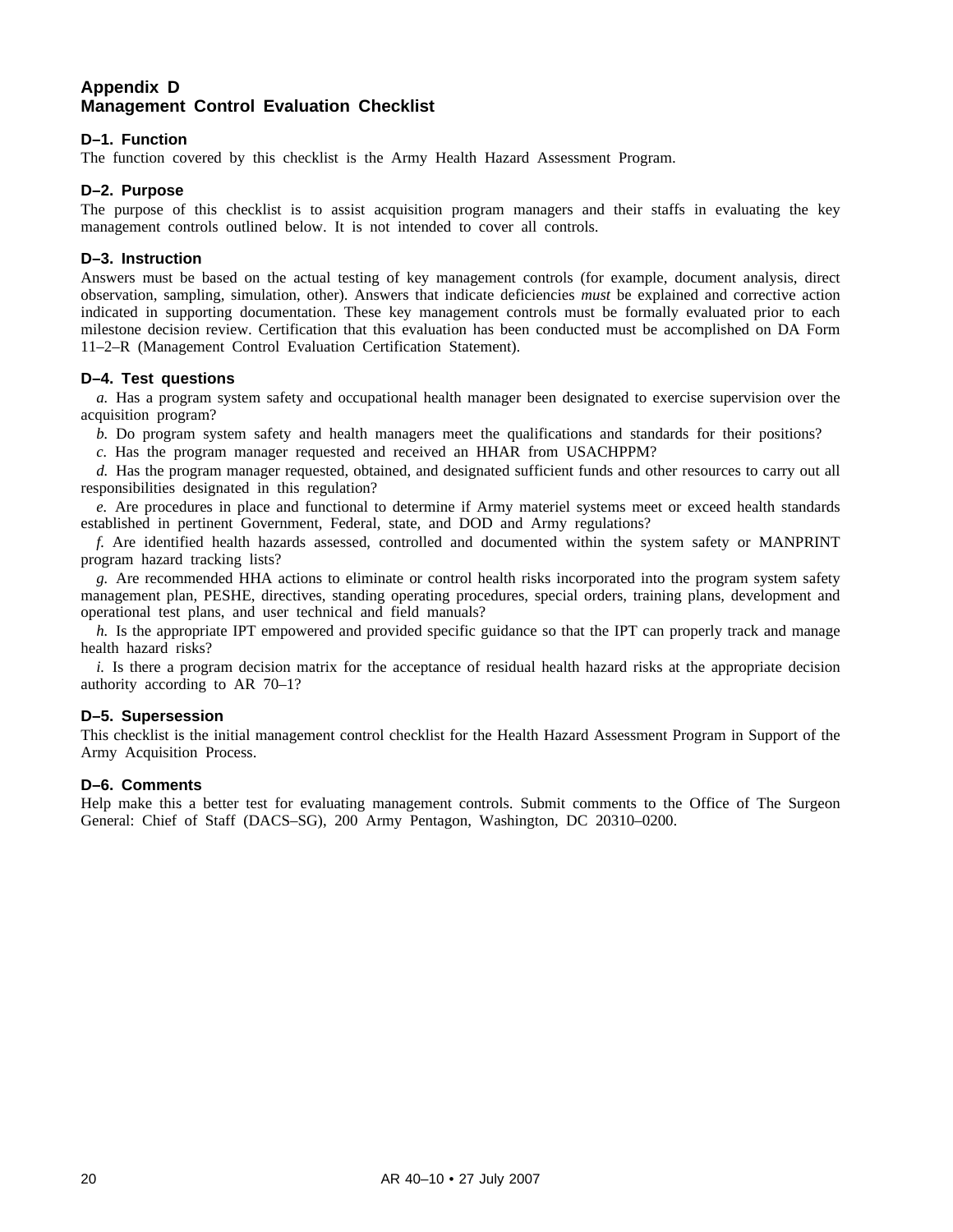#### **Appendix D Management Control Evaluation Checklist**

#### **D–1. Function**

The function covered by this checklist is the Army Health Hazard Assessment Program.

#### **D–2. Purpose**

The purpose of this checklist is to assist acquisition program managers and their staffs in evaluating the key management controls outlined below. It is not intended to cover all controls.

#### **D–3. Instruction**

Answers must be based on the actual testing of key management controls (for example, document analysis, direct observation, sampling, simulation, other). Answers that indicate deficiencies *must* be explained and corrective action indicated in supporting documentation. These key management controls must be formally evaluated prior to each milestone decision review. Certification that this evaluation has been conducted must be accomplished on DA Form 11–2–R (Management Control Evaluation Certification Statement).

#### **D–4. Test questions**

*a.* Has a program system safety and occupational health manager been designated to exercise supervision over the acquisition program?

*b.* Do program system safety and health managers meet the qualifications and standards for their positions?

*c.* Has the program manager requested and received an HHAR from USACHPPM?

*d.* Has the program manager requested, obtained, and designated sufficient funds and other resources to carry out all responsibilities designated in this regulation?

*e.* Are procedures in place and functional to determine if Army materiel systems meet or exceed health standards established in pertinent Government, Federal, state, and DOD and Army regulations?

*f.* Are identified health hazards assessed, controlled and documented within the system safety or MANPRINT program hazard tracking lists?

*g.* Are recommended HHA actions to eliminate or control health risks incorporated into the program system safety management plan, PESHE, directives, standing operating procedures, special orders, training plans, development and operational test plans, and user technical and field manuals?

*h.* Is the appropriate IPT empowered and provided specific guidance so that the IPT can properly track and manage health hazard risks?

*i.* Is there a program decision matrix for the acceptance of residual health hazard risks at the appropriate decision authority according to AR 70–1?

#### **D–5. Supersession**

This checklist is the initial management control checklist for the Health Hazard Assessment Program in Support of the Army Acquisition Process.

#### **D–6. Comments**

Help make this a better test for evaluating management controls. Submit comments to the Office of The Surgeon General: Chief of Staff (DACS–SG), 200 Army Pentagon, Washington, DC 20310–0200.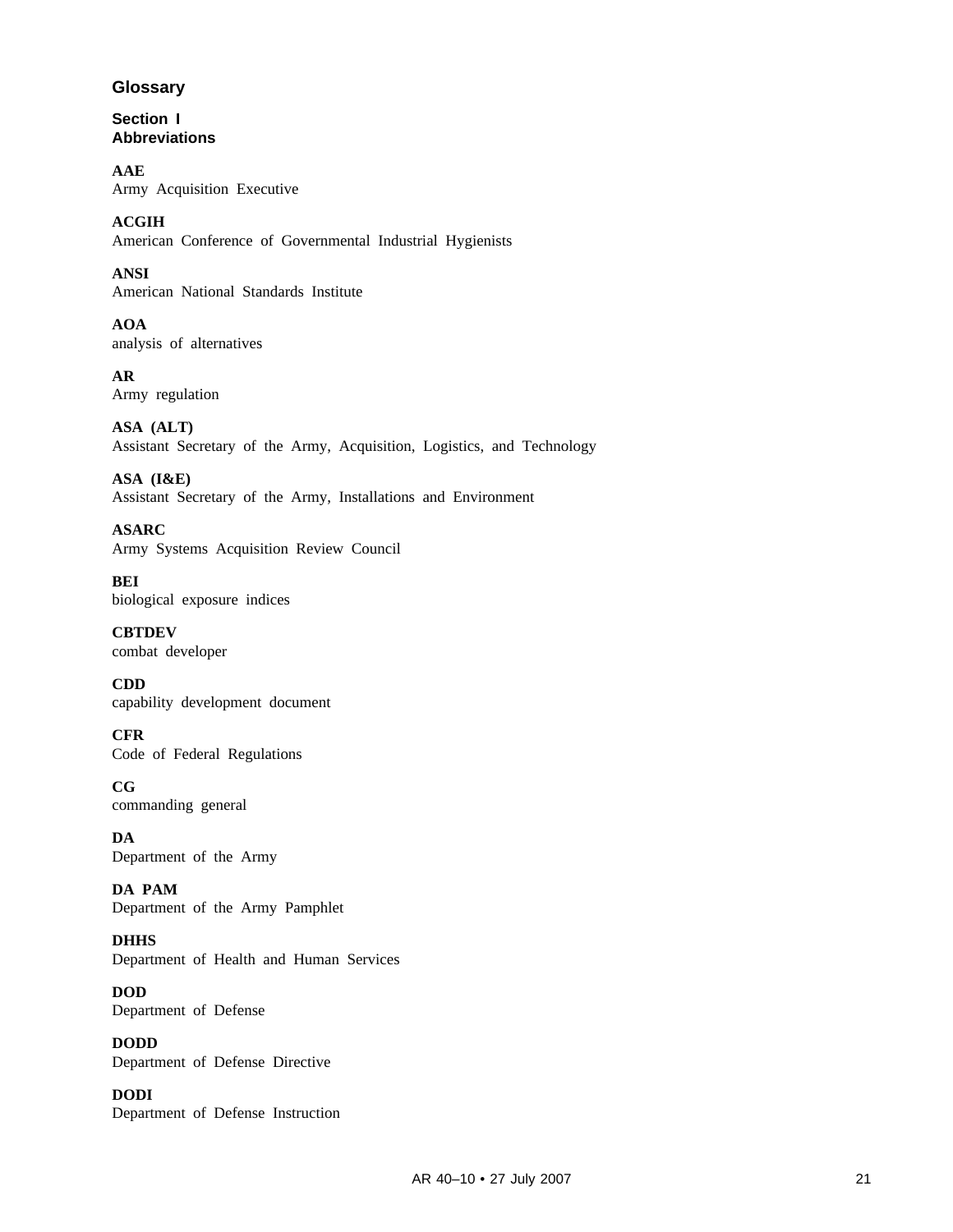#### **Glossary**

**Section I Abbreviations**

**AAE** Army Acquisition Executive

**ACGIH** American Conference of Governmental Industrial Hygienists

**ANSI** American National Standards Institute

**AOA** analysis of alternatives

**AR** Army regulation

**ASA (ALT)** Assistant Secretary of the Army, Acquisition, Logistics, and Technology

**ASA (I&E)** Assistant Secretary of the Army, Installations and Environment

**ASARC** Army Systems Acquisition Review Council

**BEI** biological exposure indices

**CBTDEV** combat developer

**CDD** capability development document

**CFR** Code of Federal Regulations

**CG** commanding general

**DA** Department of the Army

**DA PAM** Department of the Army Pamphlet

**DHHS** Department of Health and Human Services

**DOD** Department of Defense

**DODD** Department of Defense Directive

**DODI** Department of Defense Instruction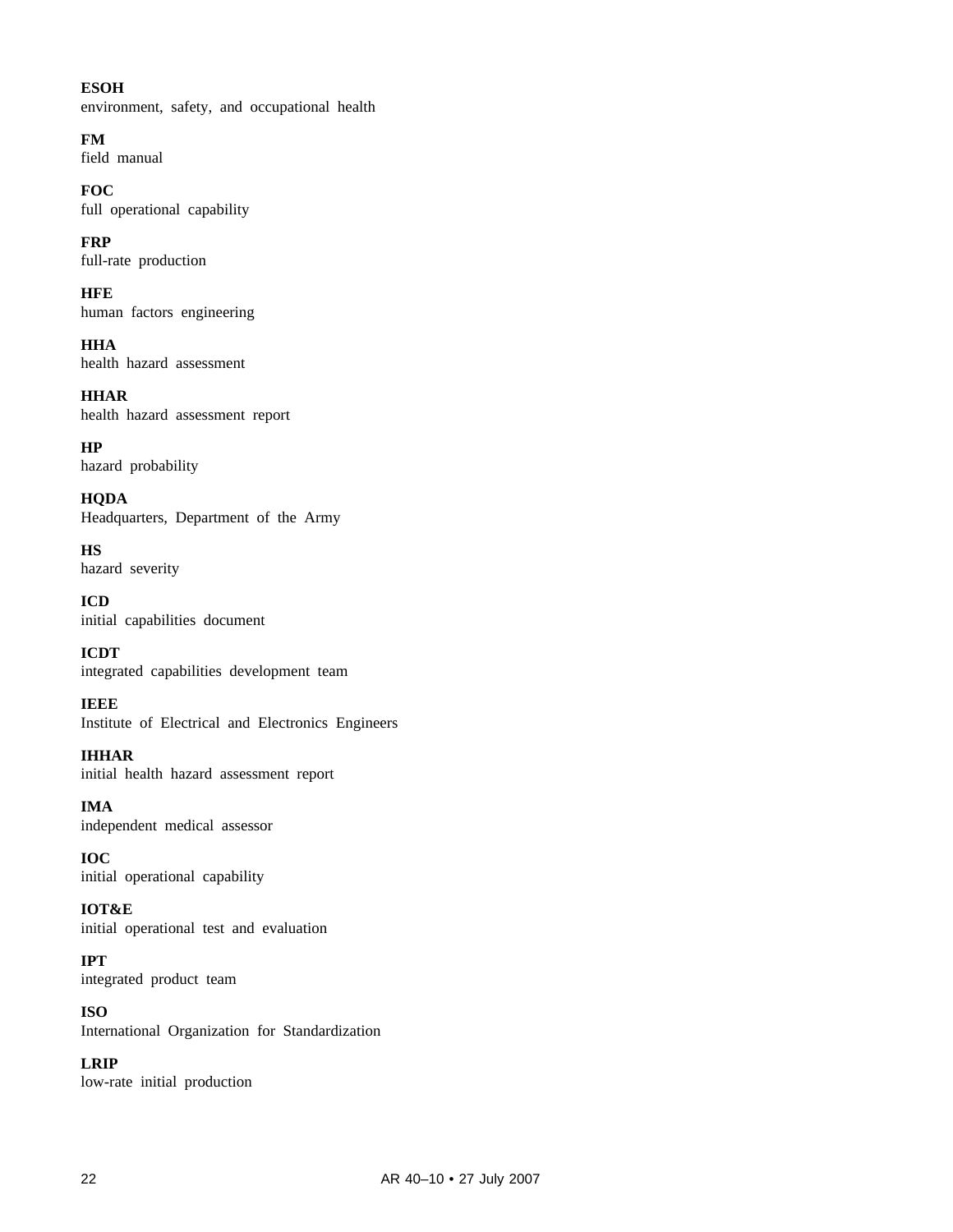#### **ESOH**

environment, safety, and occupational health

**FM** field manual

**FOC** full operational capability

**FRP** full-rate production

**HFE** human factors engineering

**HHA** health hazard assessment

**HHAR** health hazard assessment report

**HP** hazard probability

**HQDA** Headquarters, Department of the Army

**HS** hazard severity

**ICD** initial capabilities document

**ICDT** integrated capabilities development team

**IEEE** Institute of Electrical and Electronics Engineers

**IHHAR** initial health hazard assessment report

**IMA** independent medical assessor

**IOC** initial operational capability

**IOT&E** initial operational test and evaluation

**IPT** integrated product team

**ISO** International Organization for Standardization

**LRIP** low-rate initial production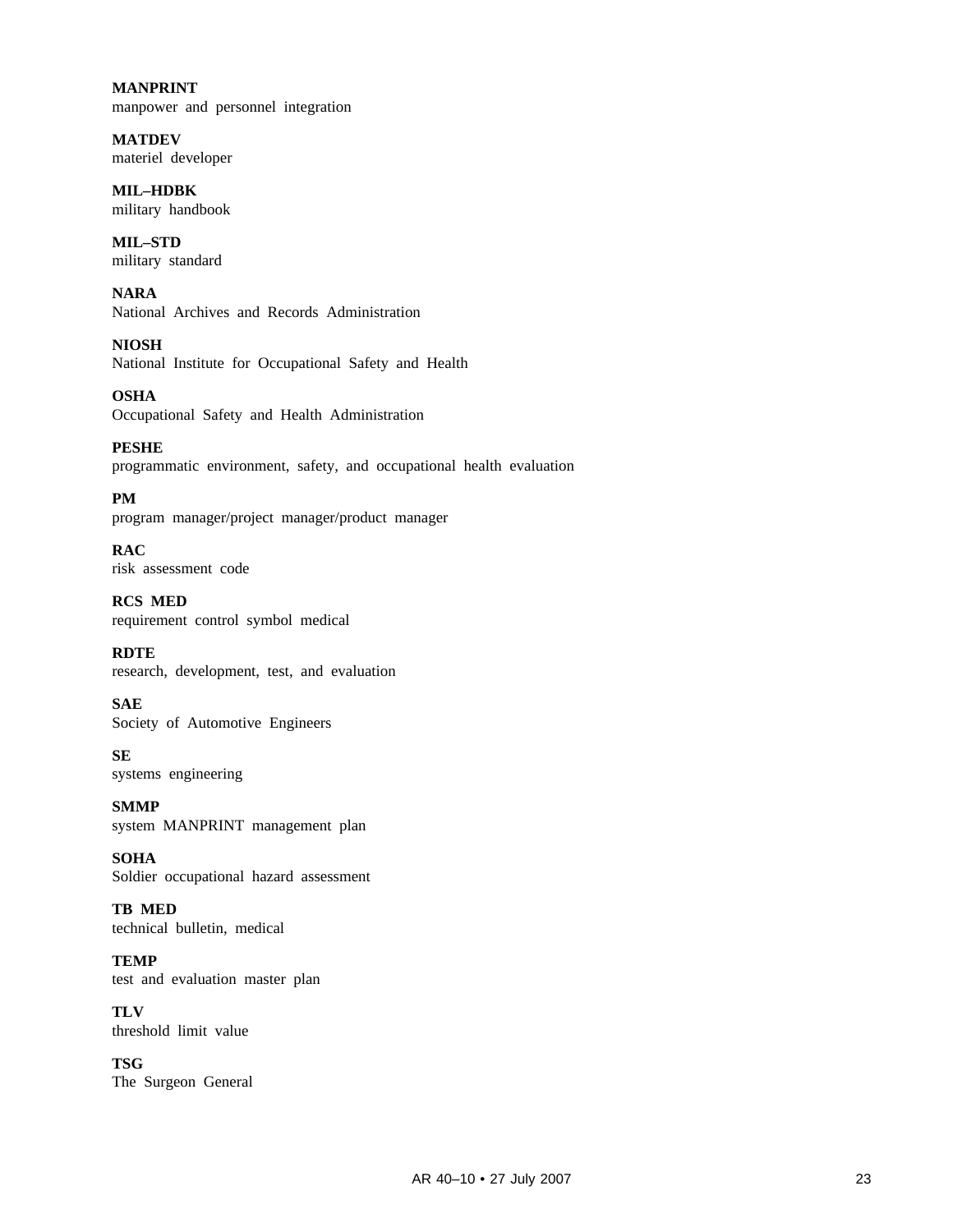**MANPRINT** manpower and personnel integration

**MATDEV** materiel developer

**MIL–HDBK** military handbook

**MIL–STD** military standard

**NARA** National Archives and Records Administration

**NIOSH** National Institute for Occupational Safety and Health

**OSHA** Occupational Safety and Health Administration

**PESHE** programmatic environment, safety, and occupational health evaluation

**PM** program manager/project manager/product manager

**RAC** risk assessment code

**RCS MED** requirement control symbol medical

**RDTE** research, development, test, and evaluation

**SAE** Society of Automotive Engineers

**SE** systems engineering

**SMMP** system MANPRINT management plan

**SOHA** Soldier occupational hazard assessment

**TB MED** technical bulletin, medical

**TEMP** test and evaluation master plan

**TLV** threshold limit value

**TSG** The Surgeon General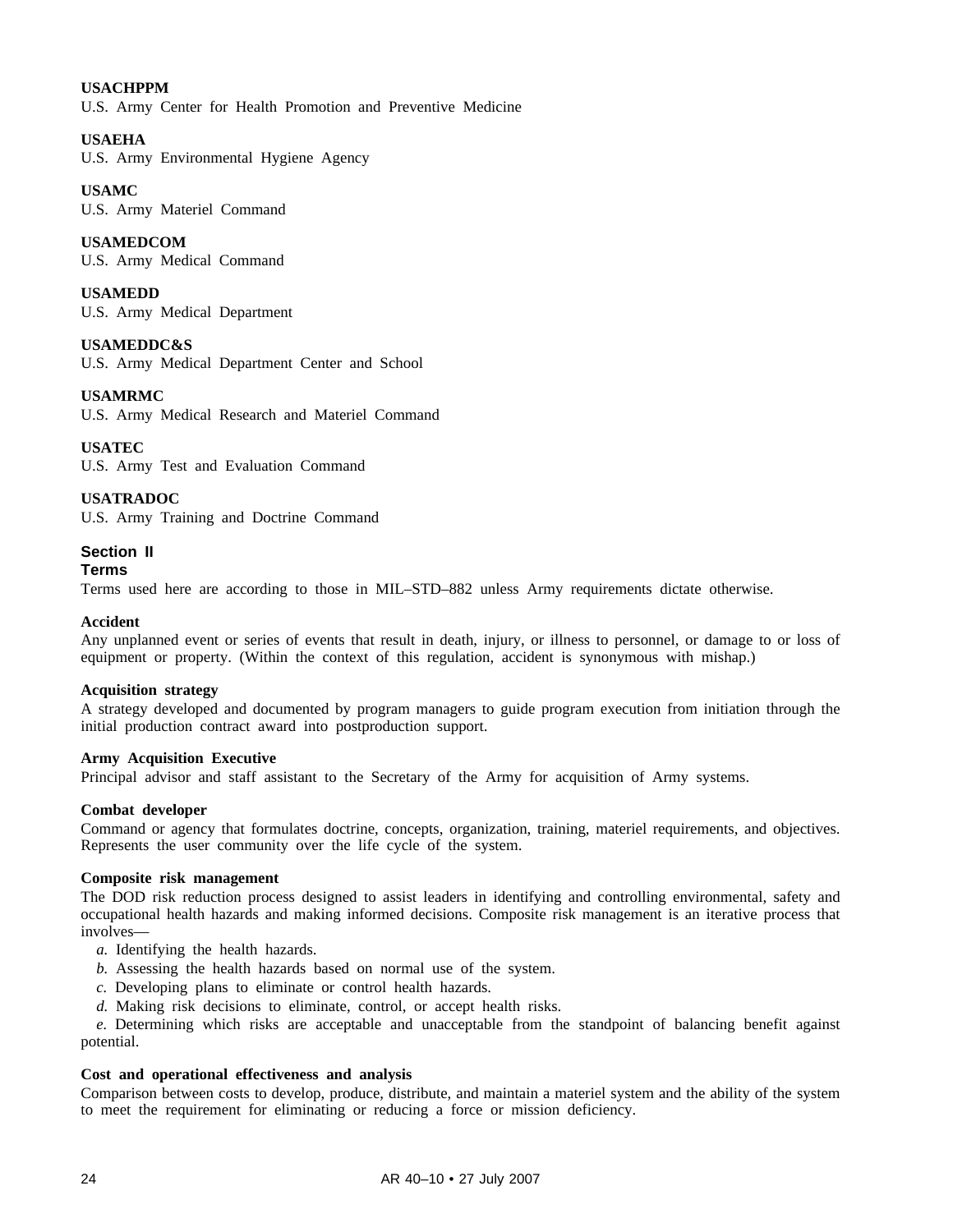#### **USACHPPM**

U.S. Army Center for Health Promotion and Preventive Medicine

#### **USAEHA**

U.S. Army Environmental Hygiene Agency

#### **USAMC**

U.S. Army Materiel Command

#### **USAMEDCOM**

U.S. Army Medical Command

#### **USAMEDD**

U.S. Army Medical Department

#### **USAMEDDC&S**

U.S. Army Medical Department Center and School

#### **USAMRMC**

U.S. Army Medical Research and Materiel Command

#### **USATEC**

U.S. Army Test and Evaluation Command

#### **USATRADOC**

U.S. Army Training and Doctrine Command

#### **Section II**

#### **Terms**

Terms used here are according to those in MIL–STD–882 unless Army requirements dictate otherwise.

#### **Accident**

Any unplanned event or series of events that result in death, injury, or illness to personnel, or damage to or loss of equipment or property. (Within the context of this regulation, accident is synonymous with mishap.)

#### **Acquisition strategy**

A strategy developed and documented by program managers to guide program execution from initiation through the initial production contract award into postproduction support.

#### **Army Acquisition Executive**

Principal advisor and staff assistant to the Secretary of the Army for acquisition of Army systems.

#### **Combat developer**

Command or agency that formulates doctrine, concepts, organization, training, materiel requirements, and objectives. Represents the user community over the life cycle of the system.

#### **Composite risk management**

The DOD risk reduction process designed to assist leaders in identifying and controlling environmental, safety and occupational health hazards and making informed decisions. Composite risk management is an iterative process that involves—

- *a.* Identifying the health hazards.
- *b.* Assessing the health hazards based on normal use of the system.
- *c.* Developing plans to eliminate or control health hazards.
- *d.* Making risk decisions to eliminate, control, or accept health risks.

*e.* Determining which risks are acceptable and unacceptable from the standpoint of balancing benefit against potential.

#### **Cost and operational effectiveness and analysis**

Comparison between costs to develop, produce, distribute, and maintain a materiel system and the ability of the system to meet the requirement for eliminating or reducing a force or mission deficiency.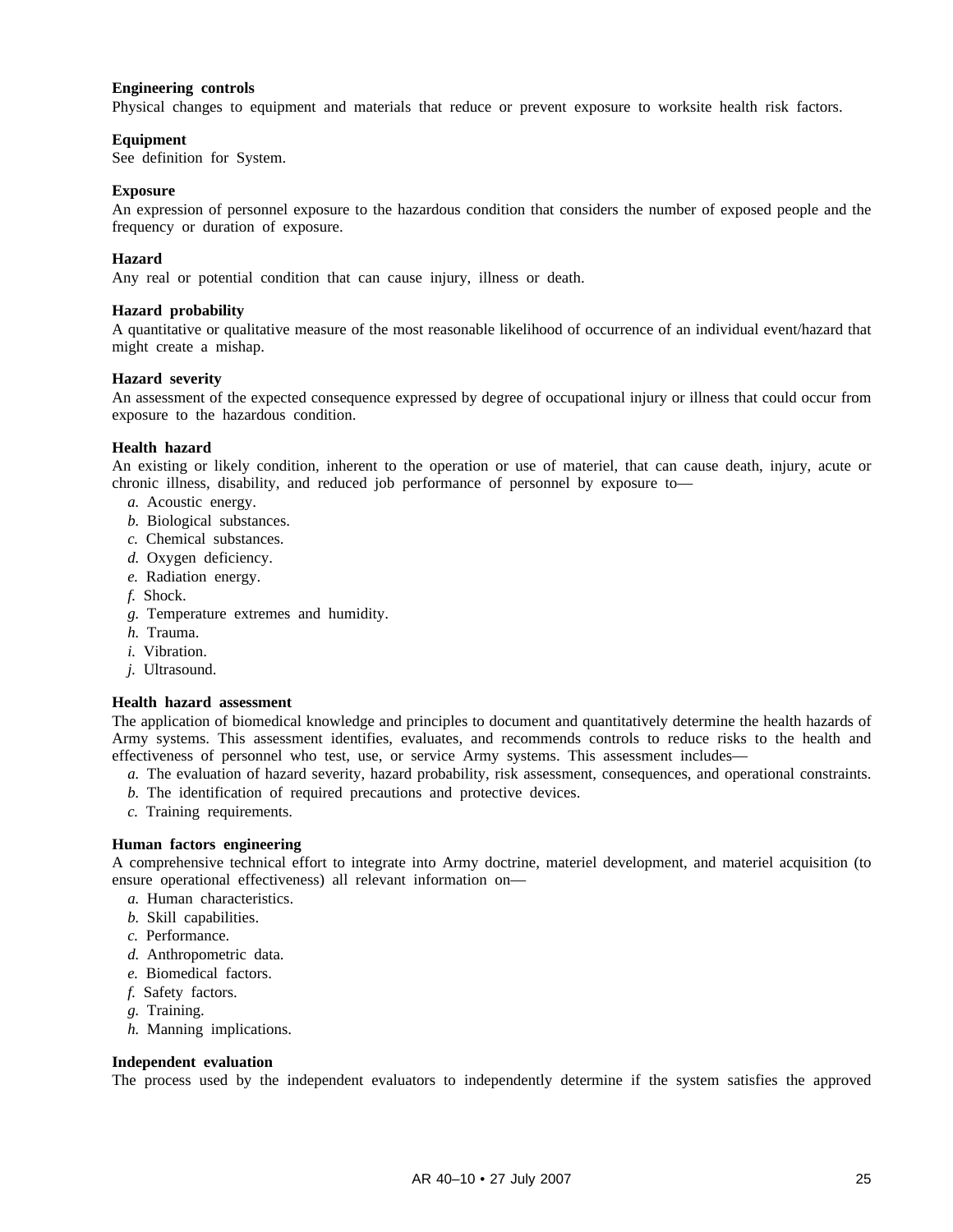#### **Engineering controls**

Physical changes to equipment and materials that reduce or prevent exposure to worksite health risk factors.

#### **Equipment**

See definition for System.

#### **Exposure**

An expression of personnel exposure to the hazardous condition that considers the number of exposed people and the frequency or duration of exposure.

#### **Hazard**

Any real or potential condition that can cause injury, illness or death.

#### **Hazard probability**

A quantitative or qualitative measure of the most reasonable likelihood of occurrence of an individual event/hazard that might create a mishap.

#### **Hazard severity**

An assessment of the expected consequence expressed by degree of occupational injury or illness that could occur from exposure to the hazardous condition.

#### **Health hazard**

An existing or likely condition, inherent to the operation or use of materiel, that can cause death, injury, acute or chronic illness, disability, and reduced job performance of personnel by exposure to—

- *a.* Acoustic energy.
- *b.* Biological substances.
- *c.* Chemical substances.
- *d.* Oxygen deficiency.
- *e.* Radiation energy.
- *f.* Shock.
- *g.* Temperature extremes and humidity.
- *h.* Trauma.
- *i.* Vibration.
- *j.* Ultrasound.

#### **Health hazard assessment**

The application of biomedical knowledge and principles to document and quantitatively determine the health hazards of Army systems. This assessment identifies, evaluates, and recommends controls to reduce risks to the health and effectiveness of personnel who test, use, or service Army systems. This assessment includes—

- *a.* The evaluation of hazard severity, hazard probability, risk assessment, consequences, and operational constraints.
- *b.* The identification of required precautions and protective devices.
- *c.* Training requirements.

#### **Human factors engineering**

A comprehensive technical effort to integrate into Army doctrine, materiel development, and materiel acquisition (to ensure operational effectiveness) all relevant information on—

- *a.* Human characteristics.
- *b.* Skill capabilities.
- *c.* Performance.
- *d.* Anthropometric data.
- *e.* Biomedical factors.
- *f.* Safety factors.
- *g.* Training.
- *h.* Manning implications.

#### **Independent evaluation**

The process used by the independent evaluators to independently determine if the system satisfies the approved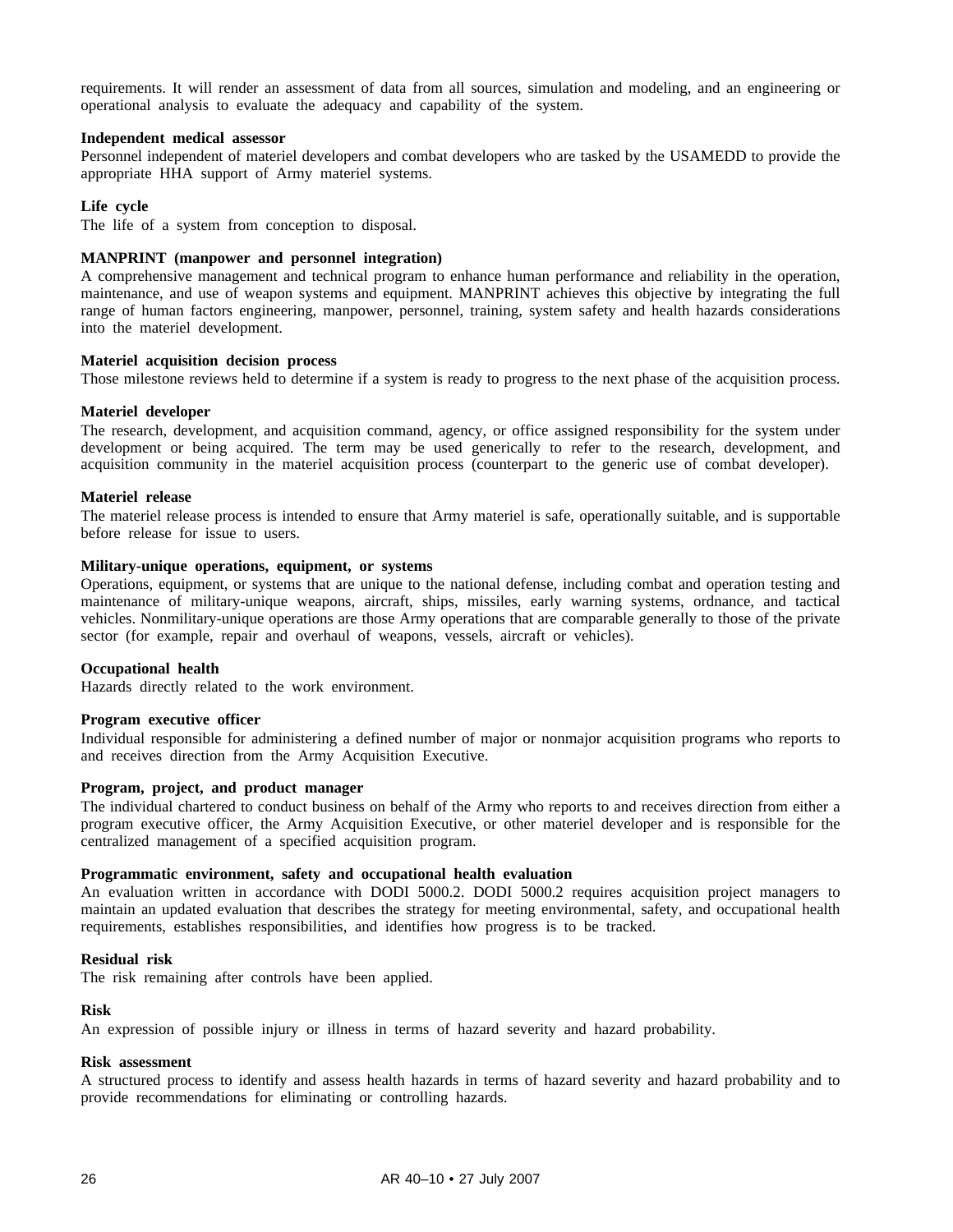requirements. It will render an assessment of data from all sources, simulation and modeling, and an engineering or operational analysis to evaluate the adequacy and capability of the system.

#### **Independent medical assessor**

Personnel independent of materiel developers and combat developers who are tasked by the USAMEDD to provide the appropriate HHA support of Army materiel systems.

#### **Life cycle**

The life of a system from conception to disposal.

#### **MANPRINT (manpower and personnel integration)**

A comprehensive management and technical program to enhance human performance and reliability in the operation, maintenance, and use of weapon systems and equipment. MANPRINT achieves this objective by integrating the full range of human factors engineering, manpower, personnel, training, system safety and health hazards considerations into the materiel development.

#### **Materiel acquisition decision process**

Those milestone reviews held to determine if a system is ready to progress to the next phase of the acquisition process.

#### **Materiel developer**

The research, development, and acquisition command, agency, or office assigned responsibility for the system under development or being acquired. The term may be used generically to refer to the research, development, and acquisition community in the materiel acquisition process (counterpart to the generic use of combat developer).

#### **Materiel release**

The materiel release process is intended to ensure that Army materiel is safe, operationally suitable, and is supportable before release for issue to users.

#### **Military-unique operations, equipment, or systems**

Operations, equipment, or systems that are unique to the national defense, including combat and operation testing and maintenance of military-unique weapons, aircraft, ships, missiles, early warning systems, ordnance, and tactical vehicles. Nonmilitary-unique operations are those Army operations that are comparable generally to those of the private sector (for example, repair and overhaul of weapons, vessels, aircraft or vehicles).

#### **Occupational health**

Hazards directly related to the work environment.

#### **Program executive officer**

Individual responsible for administering a defined number of major or nonmajor acquisition programs who reports to and receives direction from the Army Acquisition Executive.

#### **Program, project, and product manager**

The individual chartered to conduct business on behalf of the Army who reports to and receives direction from either a program executive officer, the Army Acquisition Executive, or other materiel developer and is responsible for the centralized management of a specified acquisition program.

#### **Programmatic environment, safety and occupational health evaluation**

An evaluation written in accordance with DODI 5000.2. DODI 5000.2 requires acquisition project managers to maintain an updated evaluation that describes the strategy for meeting environmental, safety, and occupational health requirements, establishes responsibilities, and identifies how progress is to be tracked.

#### **Residual risk**

The risk remaining after controls have been applied.

#### **Risk**

An expression of possible injury or illness in terms of hazard severity and hazard probability.

#### **Risk assessment**

A structured process to identify and assess health hazards in terms of hazard severity and hazard probability and to provide recommendations for eliminating or controlling hazards.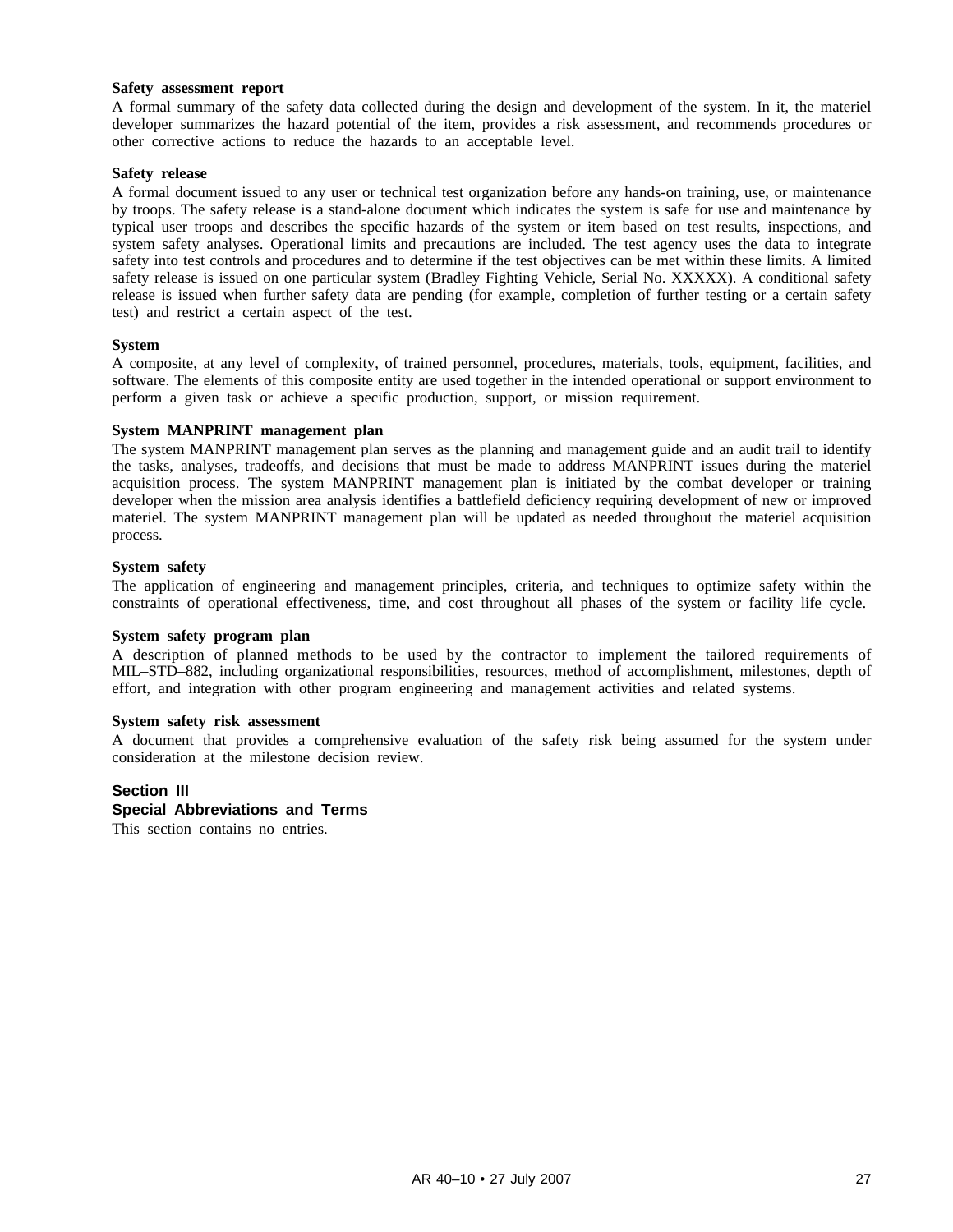#### **Safety assessment report**

A formal summary of the safety data collected during the design and development of the system. In it, the materiel developer summarizes the hazard potential of the item, provides a risk assessment, and recommends procedures or other corrective actions to reduce the hazards to an acceptable level.

#### **Safety release**

A formal document issued to any user or technical test organization before any hands-on training, use, or maintenance by troops. The safety release is a stand-alone document which indicates the system is safe for use and maintenance by typical user troops and describes the specific hazards of the system or item based on test results, inspections, and system safety analyses. Operational limits and precautions are included. The test agency uses the data to integrate safety into test controls and procedures and to determine if the test objectives can be met within these limits. A limited safety release is issued on one particular system (Bradley Fighting Vehicle, Serial No. XXXXX). A conditional safety release is issued when further safety data are pending (for example, completion of further testing or a certain safety test) and restrict a certain aspect of the test.

#### **System**

A composite, at any level of complexity, of trained personnel, procedures, materials, tools, equipment, facilities, and software. The elements of this composite entity are used together in the intended operational or support environment to perform a given task or achieve a specific production, support, or mission requirement.

#### **System MANPRINT management plan**

The system MANPRINT management plan serves as the planning and management guide and an audit trail to identify the tasks, analyses, tradeoffs, and decisions that must be made to address MANPRINT issues during the materiel acquisition process. The system MANPRINT management plan is initiated by the combat developer or training developer when the mission area analysis identifies a battlefield deficiency requiring development of new or improved materiel. The system MANPRINT management plan will be updated as needed throughout the materiel acquisition process.

#### **System safety**

The application of engineering and management principles, criteria, and techniques to optimize safety within the constraints of operational effectiveness, time, and cost throughout all phases of the system or facility life cycle.

#### **System safety program plan**

A description of planned methods to be used by the contractor to implement the tailored requirements of MIL–STD–882, including organizational responsibilities, resources, method of accomplishment, milestones, depth of effort, and integration with other program engineering and management activities and related systems.

#### **System safety risk assessment**

A document that provides a comprehensive evaluation of the safety risk being assumed for the system under consideration at the milestone decision review.

#### **Section III**

#### **Special Abbreviations and Terms**

This section contains no entries.